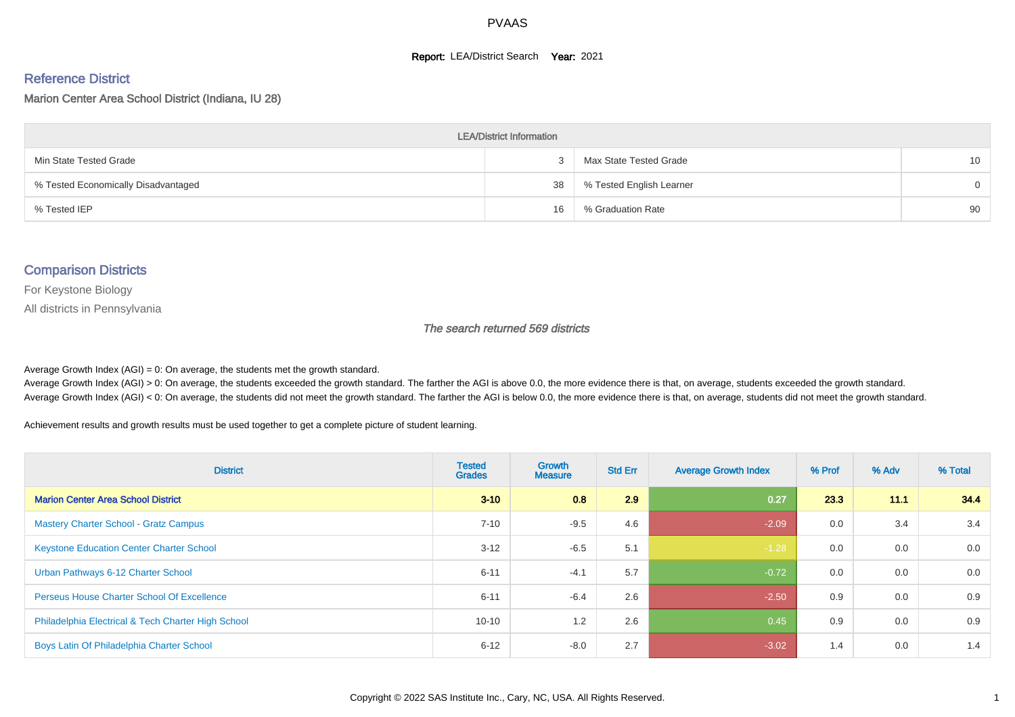#### **Report: LEA/District Search Year: 2021**

#### Reference District

Marion Center Area School District (Indiana, IU 28)

| <b>LEA/District Information</b>     |    |                          |                 |  |  |  |  |  |  |  |
|-------------------------------------|----|--------------------------|-----------------|--|--|--|--|--|--|--|
| Min State Tested Grade              |    | Max State Tested Grade   | 10 <sup>1</sup> |  |  |  |  |  |  |  |
| % Tested Economically Disadvantaged | 38 | % Tested English Learner | $\Omega$        |  |  |  |  |  |  |  |
| % Tested IEP                        | 16 | % Graduation Rate        | 90              |  |  |  |  |  |  |  |

#### Comparison Districts

For Keystone Biology

All districts in Pennsylvania

The search returned 569 districts

Average Growth Index  $(AGI) = 0$ : On average, the students met the growth standard.

Average Growth Index (AGI) > 0: On average, the students exceeded the growth standard. The farther the AGI is above 0.0, the more evidence there is that, on average, students exceeded the growth standard. Average Growth Index (AGI) < 0: On average, the students did not meet the growth standard. The farther the AGI is below 0.0, the more evidence there is that, on average, students did not meet the growth standard.

Achievement results and growth results must be used together to get a complete picture of student learning.

| <b>District</b>                                    | <b>Tested</b><br><b>Grades</b> | <b>Growth</b><br><b>Measure</b> | <b>Std Err</b> | <b>Average Growth Index</b> | % Prof | % Adv | % Total |
|----------------------------------------------------|--------------------------------|---------------------------------|----------------|-----------------------------|--------|-------|---------|
| <b>Marion Center Area School District</b>          | $3 - 10$                       | 0.8                             | 2.9            | 0.27                        | 233    | 11.1  | 34.4    |
| <b>Mastery Charter School - Gratz Campus</b>       | $7 - 10$                       | $-9.5$                          | 4.6            | $-2.09$                     | 0.0    | 3.4   | 3.4     |
| <b>Keystone Education Center Charter School</b>    | $3 - 12$                       | $-6.5$                          | 5.1            | $-1.28$                     | 0.0    | 0.0   | 0.0     |
| Urban Pathways 6-12 Charter School                 | $6 - 11$                       | $-4.1$                          | 5.7            | $-0.72$                     | 0.0    | 0.0   | 0.0     |
| <b>Perseus House Charter School Of Excellence</b>  | $6 - 11$                       | $-6.4$                          | 2.6            | $-2.50$                     | 0.9    | 0.0   | 0.9     |
| Philadelphia Electrical & Tech Charter High School | $10 - 10$                      | 1.2                             | 2.6            | 0.45                        | 0.9    | 0.0   | 0.9     |
| Boys Latin Of Philadelphia Charter School          | $6 - 12$                       | $-8.0$                          | 2.7            | $-3.02$                     | 1.4    | 0.0   | 1.4     |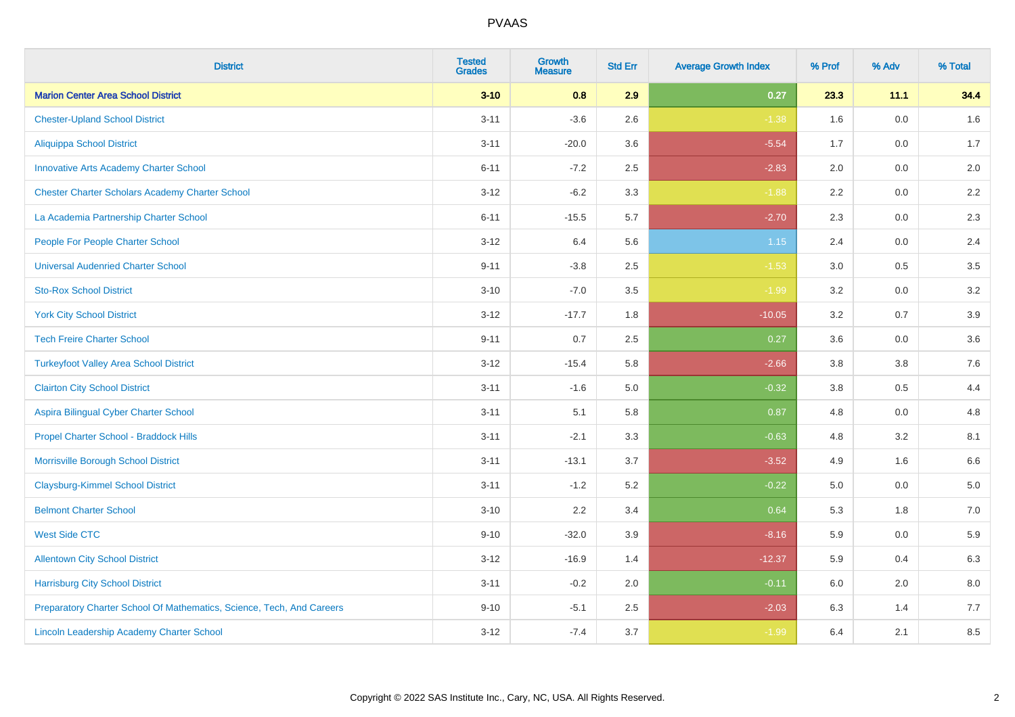| <b>District</b>                                                       | <b>Tested</b><br><b>Grades</b> | <b>Growth</b><br><b>Measure</b> | <b>Std Err</b> | <b>Average Growth Index</b> | % Prof  | % Adv   | % Total |
|-----------------------------------------------------------------------|--------------------------------|---------------------------------|----------------|-----------------------------|---------|---------|---------|
| <b>Marion Center Area School District</b>                             | $3 - 10$                       | 0.8                             | 2.9            | 0.27                        | 23.3    | 11.1    | 34.4    |
| <b>Chester-Upland School District</b>                                 | $3 - 11$                       | $-3.6$                          | 2.6            | $-1.38$                     | 1.6     | 0.0     | 1.6     |
| <b>Aliquippa School District</b>                                      | $3 - 11$                       | $-20.0$                         | 3.6            | $-5.54$                     | 1.7     | 0.0     | 1.7     |
| <b>Innovative Arts Academy Charter School</b>                         | $6 - 11$                       | $-7.2$                          | 2.5            | $-2.83$                     | 2.0     | 0.0     | 2.0     |
| <b>Chester Charter Scholars Academy Charter School</b>                | $3 - 12$                       | $-6.2$                          | 3.3            | $-1.88$                     | 2.2     | 0.0     | $2.2\,$ |
| La Academia Partnership Charter School                                | $6 - 11$                       | $-15.5$                         | 5.7            | $-2.70$                     | 2.3     | 0.0     | 2.3     |
| People For People Charter School                                      | $3 - 12$                       | 6.4                             | 5.6            | 1.15                        | 2.4     | 0.0     | 2.4     |
| <b>Universal Audenried Charter School</b>                             | $9 - 11$                       | $-3.8$                          | 2.5            | $-1.53$                     | 3.0     | 0.5     | 3.5     |
| <b>Sto-Rox School District</b>                                        | $3 - 10$                       | $-7.0$                          | 3.5            | $-1.99$                     | 3.2     | 0.0     | 3.2     |
| <b>York City School District</b>                                      | $3 - 12$                       | $-17.7$                         | 1.8            | $-10.05$                    | 3.2     | 0.7     | 3.9     |
| <b>Tech Freire Charter School</b>                                     | $9 - 11$                       | 0.7                             | 2.5            | 0.27                        | 3.6     | 0.0     | 3.6     |
| <b>Turkeyfoot Valley Area School District</b>                         | $3 - 12$                       | $-15.4$                         | 5.8            | $-2.66$                     | 3.8     | 3.8     | 7.6     |
| <b>Clairton City School District</b>                                  | $3 - 11$                       | $-1.6$                          | $5.0\,$        | $-0.32$                     | $3.8\,$ | 0.5     | 4.4     |
| Aspira Bilingual Cyber Charter School                                 | $3 - 11$                       | 5.1                             | 5.8            | 0.87                        | 4.8     | 0.0     | 4.8     |
| Propel Charter School - Braddock Hills                                | $3 - 11$                       | $-2.1$                          | 3.3            | $-0.63$                     | 4.8     | 3.2     | 8.1     |
| Morrisville Borough School District                                   | $3 - 11$                       | $-13.1$                         | 3.7            | $-3.52$                     | 4.9     | 1.6     | 6.6     |
| <b>Claysburg-Kimmel School District</b>                               | $3 - 11$                       | $-1.2$                          | 5.2            | $-0.22$                     | 5.0     | 0.0     | 5.0     |
| <b>Belmont Charter School</b>                                         | $3 - 10$                       | 2.2                             | 3.4            | 0.64                        | 5.3     | 1.8     | $7.0\,$ |
| <b>West Side CTC</b>                                                  | $9 - 10$                       | $-32.0$                         | 3.9            | $-8.16$                     | 5.9     | 0.0     | 5.9     |
| <b>Allentown City School District</b>                                 | $3 - 12$                       | $-16.9$                         | 1.4            | $-12.37$                    | 5.9     | 0.4     | 6.3     |
| <b>Harrisburg City School District</b>                                | $3 - 11$                       | $-0.2$                          | 2.0            | $-0.11$                     | 6.0     | $2.0\,$ | $8.0\,$ |
| Preparatory Charter School Of Mathematics, Science, Tech, And Careers | $9 - 10$                       | $-5.1$                          | 2.5            | $-2.03$                     | 6.3     | 1.4     | 7.7     |
| <b>Lincoln Leadership Academy Charter School</b>                      | $3 - 12$                       | $-7.4$                          | 3.7            | $-1.99$                     | 6.4     | 2.1     | 8.5     |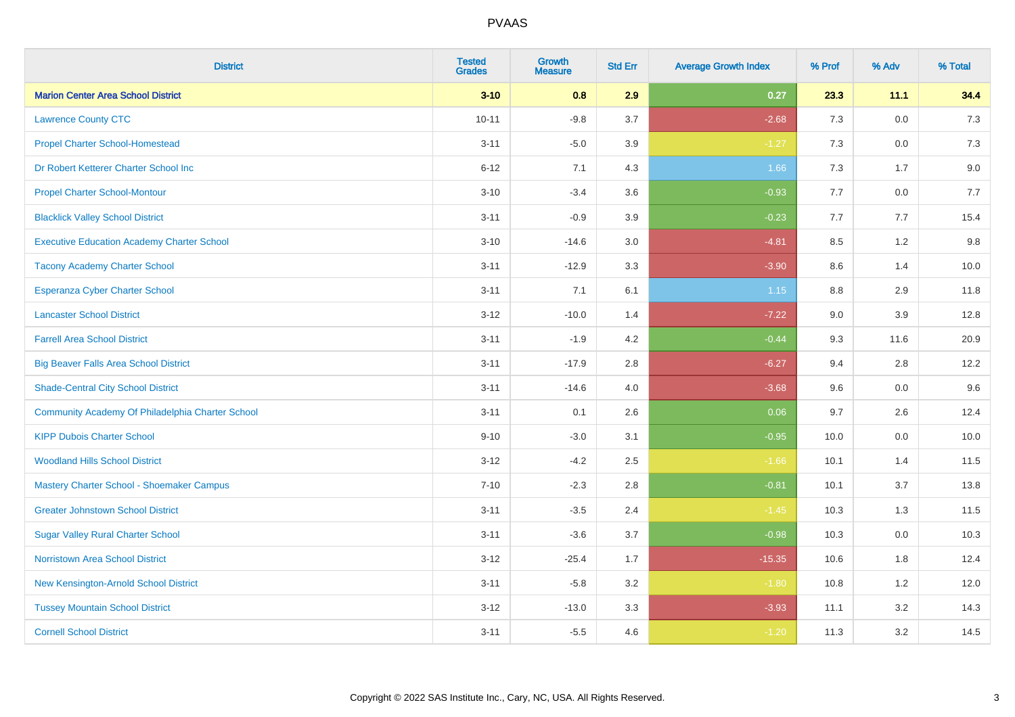| <b>District</b>                                   | <b>Tested</b><br><b>Grades</b> | <b>Growth</b><br><b>Measure</b> | <b>Std Err</b> | <b>Average Growth Index</b> | % Prof | % Adv   | % Total |
|---------------------------------------------------|--------------------------------|---------------------------------|----------------|-----------------------------|--------|---------|---------|
| <b>Marion Center Area School District</b>         | $3 - 10$                       | 0.8                             | 2.9            | 0.27                        | 23.3   | 11.1    | 34.4    |
| <b>Lawrence County CTC</b>                        | $10 - 11$                      | $-9.8$                          | 3.7            | $-2.68$                     | 7.3    | 0.0     | 7.3     |
| <b>Propel Charter School-Homestead</b>            | $3 - 11$                       | $-5.0$                          | 3.9            | $-1.27$                     | 7.3    | 0.0     | $7.3$   |
| Dr Robert Ketterer Charter School Inc             | $6 - 12$                       | 7.1                             | 4.3            | 1.66                        | 7.3    | 1.7     | 9.0     |
| <b>Propel Charter School-Montour</b>              | $3 - 10$                       | $-3.4$                          | 3.6            | $-0.93$                     | 7.7    | 0.0     | 7.7     |
| <b>Blacklick Valley School District</b>           | $3 - 11$                       | $-0.9$                          | 3.9            | $-0.23$                     | 7.7    | 7.7     | 15.4    |
| <b>Executive Education Academy Charter School</b> | $3 - 10$                       | $-14.6$                         | 3.0            | $-4.81$                     | 8.5    | 1.2     | 9.8     |
| <b>Tacony Academy Charter School</b>              | $3 - 11$                       | $-12.9$                         | 3.3            | $-3.90$                     | 8.6    | 1.4     | 10.0    |
| <b>Esperanza Cyber Charter School</b>             | $3 - 11$                       | 7.1                             | 6.1            | 1.15                        | 8.8    | 2.9     | 11.8    |
| <b>Lancaster School District</b>                  | $3 - 12$                       | $-10.0$                         | 1.4            | $-7.22$                     | 9.0    | 3.9     | 12.8    |
| <b>Farrell Area School District</b>               | $3 - 11$                       | $-1.9$                          | 4.2            | $-0.44$                     | 9.3    | 11.6    | 20.9    |
| <b>Big Beaver Falls Area School District</b>      | $3 - 11$                       | $-17.9$                         | 2.8            | $-6.27$                     | 9.4    | 2.8     | 12.2    |
| <b>Shade-Central City School District</b>         | $3 - 11$                       | $-14.6$                         | 4.0            | $-3.68$                     | 9.6    | $0.0\,$ | 9.6     |
| Community Academy Of Philadelphia Charter School  | $3 - 11$                       | 0.1                             | 2.6            | 0.06                        | 9.7    | 2.6     | 12.4    |
| <b>KIPP Dubois Charter School</b>                 | $9 - 10$                       | $-3.0$                          | 3.1            | $-0.95$                     | 10.0   | 0.0     | 10.0    |
| <b>Woodland Hills School District</b>             | $3 - 12$                       | $-4.2$                          | 2.5            | $-1.66$                     | 10.1   | 1.4     | 11.5    |
| Mastery Charter School - Shoemaker Campus         | $7 - 10$                       | $-2.3$                          | 2.8            | $-0.81$                     | 10.1   | 3.7     | 13.8    |
| <b>Greater Johnstown School District</b>          | $3 - 11$                       | $-3.5$                          | 2.4            | $-1.45$                     | 10.3   | 1.3     | 11.5    |
| <b>Sugar Valley Rural Charter School</b>          | $3 - 11$                       | $-3.6$                          | 3.7            | $-0.98$                     | 10.3   | 0.0     | 10.3    |
| <b>Norristown Area School District</b>            | $3 - 12$                       | $-25.4$                         | 1.7            | $-15.35$                    | 10.6   | 1.8     | 12.4    |
| New Kensington-Arnold School District             | $3 - 11$                       | $-5.8$                          | 3.2            | $-1.80$                     | 10.8   | 1.2     | 12.0    |
| <b>Tussey Mountain School District</b>            | $3 - 12$                       | $-13.0$                         | 3.3            | $-3.93$                     | 11.1   | 3.2     | 14.3    |
| <b>Cornell School District</b>                    | $3 - 11$                       | $-5.5$                          | 4.6            | $-1.20$                     | 11.3   | 3.2     | 14.5    |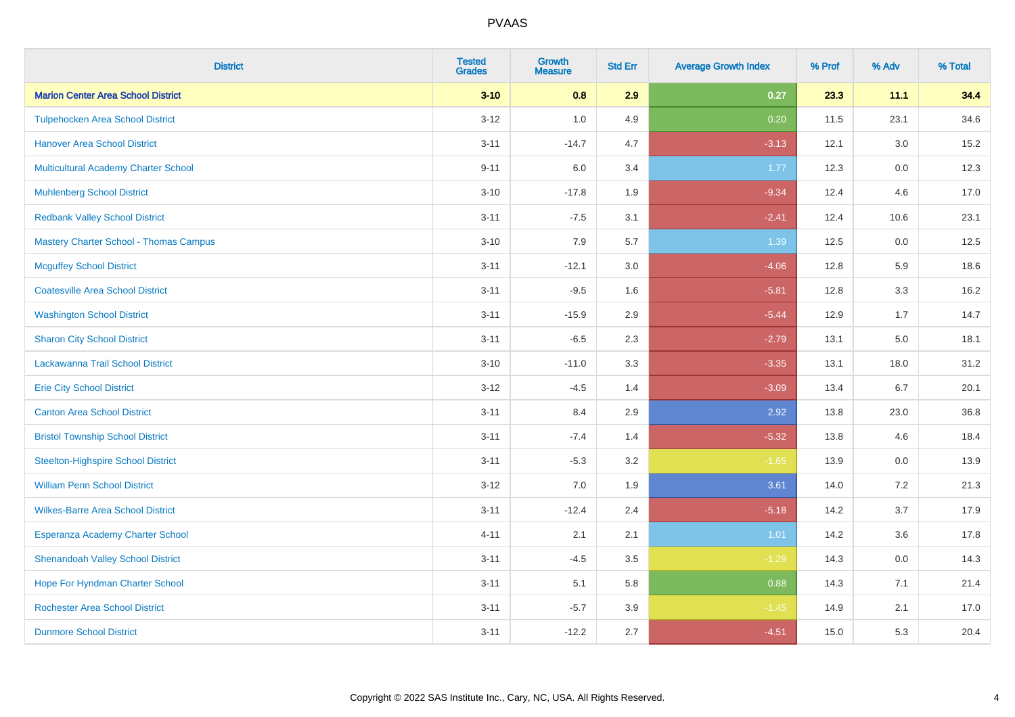| <b>District</b>                               | <b>Tested</b><br><b>Grades</b> | <b>Growth</b><br><b>Measure</b> | <b>Std Err</b> | <b>Average Growth Index</b> | % Prof | % Adv   | % Total |
|-----------------------------------------------|--------------------------------|---------------------------------|----------------|-----------------------------|--------|---------|---------|
| <b>Marion Center Area School District</b>     | $3 - 10$                       | 0.8                             | 2.9            | 0.27                        | 23.3   | 11.1    | 34.4    |
| <b>Tulpehocken Area School District</b>       | $3 - 12$                       | 1.0                             | 4.9            | 0.20                        | 11.5   | 23.1    | 34.6    |
| <b>Hanover Area School District</b>           | $3 - 11$                       | $-14.7$                         | 4.7            | $-3.13$                     | 12.1   | 3.0     | 15.2    |
| <b>Multicultural Academy Charter School</b>   | $9 - 11$                       | 6.0                             | 3.4            | 1.77                        | 12.3   | $0.0\,$ | 12.3    |
| <b>Muhlenberg School District</b>             | $3 - 10$                       | $-17.8$                         | 1.9            | $-9.34$                     | 12.4   | 4.6     | 17.0    |
| <b>Redbank Valley School District</b>         | $3 - 11$                       | $-7.5$                          | 3.1            | $-2.41$                     | 12.4   | 10.6    | 23.1    |
| <b>Mastery Charter School - Thomas Campus</b> | $3 - 10$                       | 7.9                             | 5.7            | 1.39                        | 12.5   | 0.0     | 12.5    |
| <b>Mcguffey School District</b>               | $3 - 11$                       | $-12.1$                         | 3.0            | $-4.06$                     | 12.8   | 5.9     | 18.6    |
| <b>Coatesville Area School District</b>       | $3 - 11$                       | $-9.5$                          | 1.6            | $-5.81$                     | 12.8   | 3.3     | 16.2    |
| <b>Washington School District</b>             | $3 - 11$                       | $-15.9$                         | 2.9            | $-5.44$                     | 12.9   | 1.7     | 14.7    |
| <b>Sharon City School District</b>            | $3 - 11$                       | $-6.5$                          | 2.3            | $-2.79$                     | 13.1   | 5.0     | 18.1    |
| Lackawanna Trail School District              | $3 - 10$                       | $-11.0$                         | 3.3            | $-3.35$                     | 13.1   | 18.0    | 31.2    |
| <b>Erie City School District</b>              | $3 - 12$                       | $-4.5$                          | 1.4            | $-3.09$                     | 13.4   | 6.7     | 20.1    |
| <b>Canton Area School District</b>            | $3 - 11$                       | 8.4                             | 2.9            | 2.92                        | 13.8   | 23.0    | 36.8    |
| <b>Bristol Township School District</b>       | $3 - 11$                       | $-7.4$                          | 1.4            | $-5.32$                     | 13.8   | 4.6     | 18.4    |
| <b>Steelton-Highspire School District</b>     | $3 - 11$                       | $-5.3$                          | 3.2            | $-1.65$                     | 13.9   | 0.0     | 13.9    |
| <b>William Penn School District</b>           | $3 - 12$                       | 7.0                             | 1.9            | 3.61                        | 14.0   | 7.2     | 21.3    |
| <b>Wilkes-Barre Area School District</b>      | $3 - 11$                       | $-12.4$                         | 2.4            | $-5.18$                     | 14.2   | 3.7     | 17.9    |
| Esperanza Academy Charter School              | $4 - 11$                       | 2.1                             | 2.1            | $1.01$                      | 14.2   | 3.6     | 17.8    |
| <b>Shenandoah Valley School District</b>      | $3 - 11$                       | $-4.5$                          | 3.5            | $-1.29$                     | 14.3   | 0.0     | 14.3    |
| Hope For Hyndman Charter School               | $3 - 11$                       | 5.1                             | 5.8            | 0.88                        | 14.3   | 7.1     | 21.4    |
| <b>Rochester Area School District</b>         | $3 - 11$                       | $-5.7$                          | 3.9            | $-1.45$                     | 14.9   | 2.1     | 17.0    |
| <b>Dunmore School District</b>                | $3 - 11$                       | $-12.2$                         | 2.7            | $-4.51$                     | 15.0   | 5.3     | 20.4    |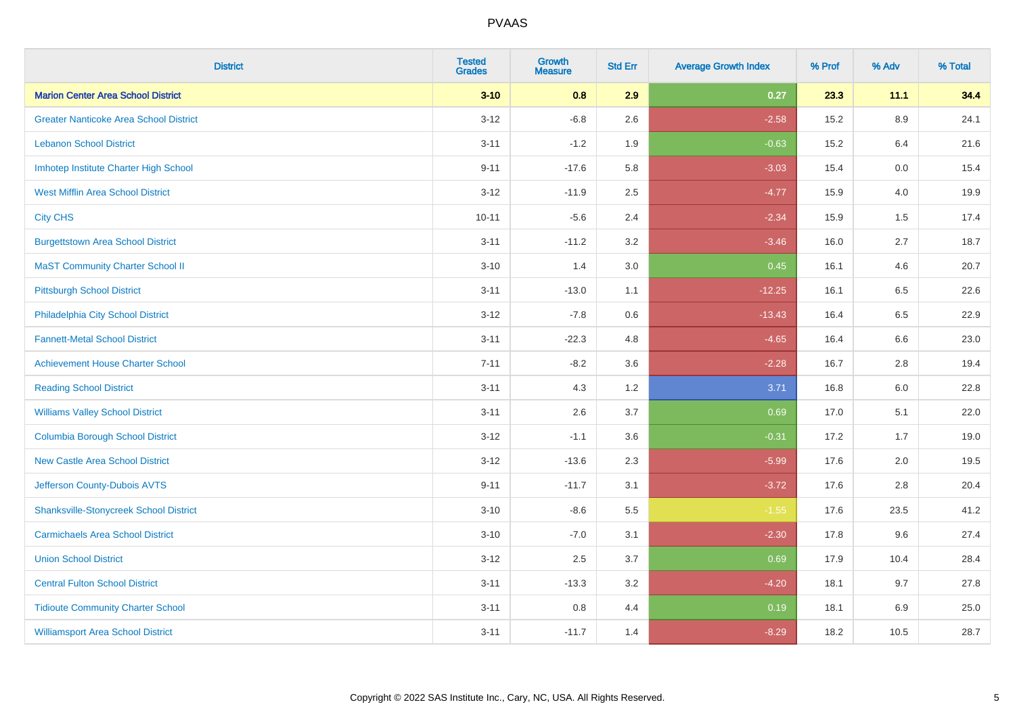| <b>District</b>                               | <b>Tested</b><br><b>Grades</b> | <b>Growth</b><br><b>Measure</b> | <b>Std Err</b> | <b>Average Growth Index</b> | % Prof | % Adv   | % Total |
|-----------------------------------------------|--------------------------------|---------------------------------|----------------|-----------------------------|--------|---------|---------|
| <b>Marion Center Area School District</b>     | $3 - 10$                       | 0.8                             | 2.9            | 0.27                        | 23.3   | 11.1    | 34.4    |
| <b>Greater Nanticoke Area School District</b> | $3 - 12$                       | $-6.8$                          | 2.6            | $-2.58$                     | 15.2   | $8.9\,$ | 24.1    |
| <b>Lebanon School District</b>                | $3 - 11$                       | $-1.2$                          | 1.9            | $-0.63$                     | 15.2   | 6.4     | 21.6    |
| Imhotep Institute Charter High School         | $9 - 11$                       | $-17.6$                         | 5.8            | $-3.03$                     | 15.4   | 0.0     | 15.4    |
| <b>West Mifflin Area School District</b>      | $3 - 12$                       | $-11.9$                         | 2.5            | $-4.77$                     | 15.9   | 4.0     | 19.9    |
| <b>City CHS</b>                               | $10 - 11$                      | $-5.6$                          | 2.4            | $-2.34$                     | 15.9   | 1.5     | 17.4    |
| <b>Burgettstown Area School District</b>      | $3 - 11$                       | $-11.2$                         | 3.2            | $-3.46$                     | 16.0   | 2.7     | 18.7    |
| <b>MaST Community Charter School II</b>       | $3 - 10$                       | 1.4                             | 3.0            | 0.45                        | 16.1   | 4.6     | 20.7    |
| <b>Pittsburgh School District</b>             | $3 - 11$                       | $-13.0$                         | 1.1            | $-12.25$                    | 16.1   | 6.5     | 22.6    |
| Philadelphia City School District             | $3 - 12$                       | $-7.8$                          | 0.6            | $-13.43$                    | 16.4   | 6.5     | 22.9    |
| <b>Fannett-Metal School District</b>          | $3 - 11$                       | $-22.3$                         | 4.8            | $-4.65$                     | 16.4   | 6.6     | 23.0    |
| <b>Achievement House Charter School</b>       | $7 - 11$                       | $-8.2$                          | 3.6            | $-2.28$                     | 16.7   | 2.8     | 19.4    |
| <b>Reading School District</b>                | $3 - 11$                       | 4.3                             | 1.2            | 3.71                        | 16.8   | 6.0     | 22.8    |
| <b>Williams Valley School District</b>        | $3 - 11$                       | 2.6                             | 3.7            | 0.69                        | 17.0   | 5.1     | 22.0    |
| <b>Columbia Borough School District</b>       | $3 - 12$                       | $-1.1$                          | 3.6            | $-0.31$                     | 17.2   | 1.7     | 19.0    |
| <b>New Castle Area School District</b>        | $3 - 12$                       | $-13.6$                         | 2.3            | $-5.99$                     | 17.6   | 2.0     | 19.5    |
| Jefferson County-Dubois AVTS                  | $9 - 11$                       | $-11.7$                         | 3.1            | $-3.72$                     | 17.6   | 2.8     | 20.4    |
| <b>Shanksville-Stonycreek School District</b> | $3 - 10$                       | $-8.6$                          | 5.5            | $-1.55$                     | 17.6   | 23.5    | 41.2    |
| <b>Carmichaels Area School District</b>       | $3 - 10$                       | $-7.0$                          | 3.1            | $-2.30$                     | 17.8   | 9.6     | 27.4    |
| <b>Union School District</b>                  | $3 - 12$                       | 2.5                             | 3.7            | 0.69                        | 17.9   | 10.4    | 28.4    |
| <b>Central Fulton School District</b>         | $3 - 11$                       | $-13.3$                         | 3.2            | $-4.20$                     | 18.1   | 9.7     | 27.8    |
| <b>Tidioute Community Charter School</b>      | $3 - 11$                       | 0.8                             | 4.4            | 0.19                        | 18.1   | 6.9     | 25.0    |
| <b>Williamsport Area School District</b>      | $3 - 11$                       | $-11.7$                         | 1.4            | $-8.29$                     | 18.2   | 10.5    | 28.7    |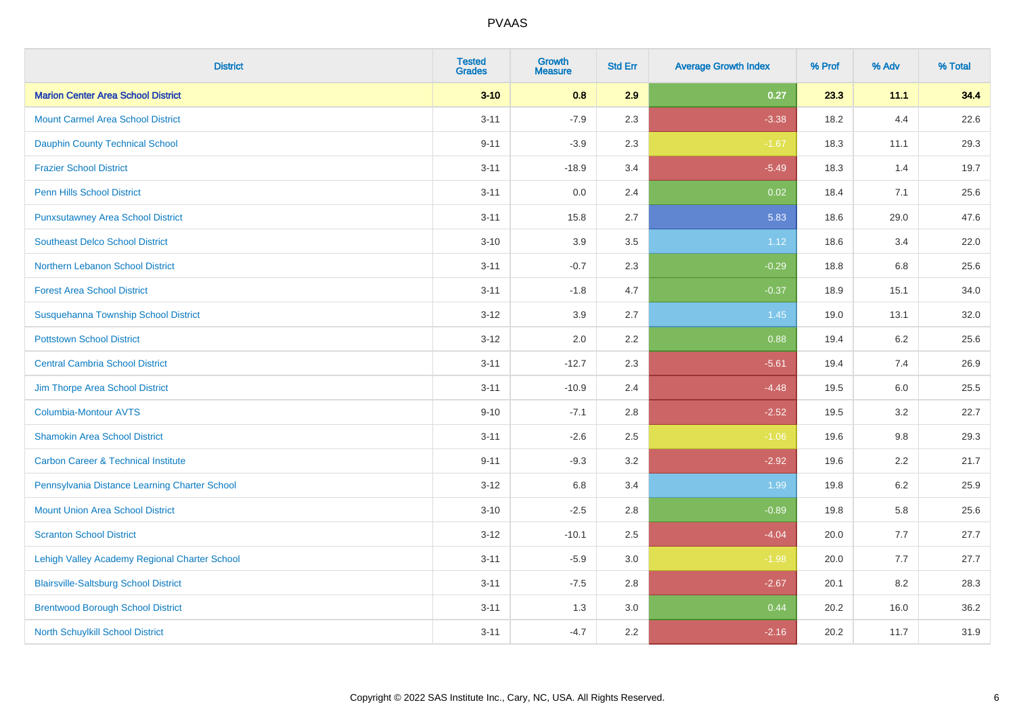| <b>District</b>                                | <b>Tested</b><br><b>Grades</b> | <b>Growth</b><br><b>Measure</b> | <b>Std Err</b> | <b>Average Growth Index</b> | % Prof | % Adv | % Total |
|------------------------------------------------|--------------------------------|---------------------------------|----------------|-----------------------------|--------|-------|---------|
| <b>Marion Center Area School District</b>      | $3 - 10$                       | 0.8                             | 2.9            | 0.27                        | 23.3   | 11.1  | 34.4    |
| <b>Mount Carmel Area School District</b>       | $3 - 11$                       | $-7.9$                          | 2.3            | $-3.38$                     | 18.2   | 4.4   | 22.6    |
| <b>Dauphin County Technical School</b>         | $9 - 11$                       | $-3.9$                          | 2.3            | $-1.67$                     | 18.3   | 11.1  | 29.3    |
| <b>Frazier School District</b>                 | $3 - 11$                       | $-18.9$                         | 3.4            | $-5.49$                     | 18.3   | 1.4   | 19.7    |
| <b>Penn Hills School District</b>              | $3 - 11$                       | 0.0                             | 2.4            | 0.02                        | 18.4   | 7.1   | 25.6    |
| <b>Punxsutawney Area School District</b>       | $3 - 11$                       | 15.8                            | 2.7            | 5.83                        | 18.6   | 29.0  | 47.6    |
| <b>Southeast Delco School District</b>         | $3 - 10$                       | 3.9                             | 3.5            | 1.12                        | 18.6   | 3.4   | 22.0    |
| <b>Northern Lebanon School District</b>        | $3 - 11$                       | $-0.7$                          | 2.3            | $-0.29$                     | 18.8   | 6.8   | 25.6    |
| <b>Forest Area School District</b>             | $3 - 11$                       | $-1.8$                          | 4.7            | $-0.37$                     | 18.9   | 15.1  | 34.0    |
| Susquehanna Township School District           | $3 - 12$                       | 3.9                             | 2.7            | 1.45                        | 19.0   | 13.1  | 32.0    |
| <b>Pottstown School District</b>               | $3 - 12$                       | 2.0                             | 2.2            | 0.88                        | 19.4   | 6.2   | 25.6    |
| <b>Central Cambria School District</b>         | $3 - 11$                       | $-12.7$                         | 2.3            | $-5.61$                     | 19.4   | 7.4   | 26.9    |
| Jim Thorpe Area School District                | $3 - 11$                       | $-10.9$                         | 2.4            | $-4.48$                     | 19.5   | 6.0   | 25.5    |
| <b>Columbia-Montour AVTS</b>                   | $9 - 10$                       | $-7.1$                          | 2.8            | $-2.52$                     | 19.5   | 3.2   | 22.7    |
| <b>Shamokin Area School District</b>           | $3 - 11$                       | $-2.6$                          | 2.5            | $-1.06$                     | 19.6   | 9.8   | 29.3    |
| <b>Carbon Career &amp; Technical Institute</b> | $9 - 11$                       | $-9.3$                          | 3.2            | $-2.92$                     | 19.6   | 2.2   | 21.7    |
| Pennsylvania Distance Learning Charter School  | $3 - 12$                       | 6.8                             | 3.4            | 1.99                        | 19.8   | 6.2   | 25.9    |
| <b>Mount Union Area School District</b>        | $3 - 10$                       | $-2.5$                          | 2.8            | $-0.89$                     | 19.8   | 5.8   | 25.6    |
| <b>Scranton School District</b>                | $3 - 12$                       | $-10.1$                         | 2.5            | $-4.04$                     | 20.0   | 7.7   | 27.7    |
| Lehigh Valley Academy Regional Charter School  | $3 - 11$                       | $-5.9$                          | 3.0            | $-1.98$                     | 20.0   | 7.7   | 27.7    |
| <b>Blairsville-Saltsburg School District</b>   | $3 - 11$                       | $-7.5$                          | 2.8            | $-2.67$                     | 20.1   | 8.2   | 28.3    |
| <b>Brentwood Borough School District</b>       | $3 - 11$                       | 1.3                             | 3.0            | 0.44                        | 20.2   | 16.0  | 36.2    |
| North Schuylkill School District               | $3 - 11$                       | $-4.7$                          | 2.2            | $-2.16$                     | 20.2   | 11.7  | 31.9    |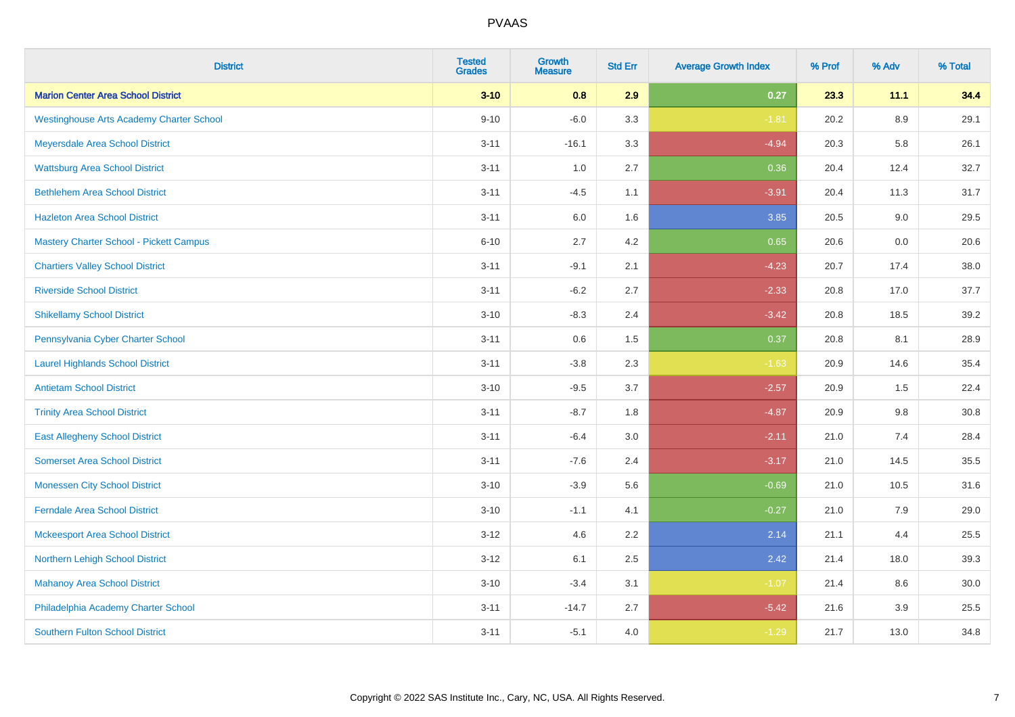| <b>District</b>                                 | <b>Tested</b><br><b>Grades</b> | <b>Growth</b><br><b>Measure</b> | <b>Std Err</b> | <b>Average Growth Index</b> | % Prof | % Adv   | % Total |
|-------------------------------------------------|--------------------------------|---------------------------------|----------------|-----------------------------|--------|---------|---------|
| <b>Marion Center Area School District</b>       | $3 - 10$                       | 0.8                             | 2.9            | 0.27                        | 23.3   | 11.1    | 34.4    |
| <b>Westinghouse Arts Academy Charter School</b> | $9 - 10$                       | $-6.0$                          | 3.3            | $-1.81$                     | 20.2   | $8.9\,$ | 29.1    |
| Meyersdale Area School District                 | $3 - 11$                       | $-16.1$                         | 3.3            | $-4.94$                     | 20.3   | 5.8     | 26.1    |
| <b>Wattsburg Area School District</b>           | $3 - 11$                       | 1.0                             | 2.7            | 0.36                        | 20.4   | 12.4    | 32.7    |
| <b>Bethlehem Area School District</b>           | $3 - 11$                       | $-4.5$                          | 1.1            | $-3.91$                     | 20.4   | 11.3    | 31.7    |
| <b>Hazleton Area School District</b>            | $3 - 11$                       | 6.0                             | 1.6            | 3.85                        | 20.5   | 9.0     | 29.5    |
| <b>Mastery Charter School - Pickett Campus</b>  | $6 - 10$                       | 2.7                             | 4.2            | 0.65                        | 20.6   | 0.0     | 20.6    |
| <b>Chartiers Valley School District</b>         | $3 - 11$                       | $-9.1$                          | 2.1            | $-4.23$                     | 20.7   | 17.4    | 38.0    |
| <b>Riverside School District</b>                | $3 - 11$                       | $-6.2$                          | 2.7            | $-2.33$                     | 20.8   | 17.0    | 37.7    |
| <b>Shikellamy School District</b>               | $3 - 10$                       | $-8.3$                          | 2.4            | $-3.42$                     | 20.8   | 18.5    | 39.2    |
| Pennsylvania Cyber Charter School               | $3 - 11$                       | 0.6                             | 1.5            | 0.37                        | 20.8   | 8.1     | 28.9    |
| <b>Laurel Highlands School District</b>         | $3 - 11$                       | $-3.8$                          | 2.3            | $-1.63$                     | 20.9   | 14.6    | 35.4    |
| <b>Antietam School District</b>                 | $3 - 10$                       | $-9.5$                          | 3.7            | $-2.57$                     | 20.9   | 1.5     | 22.4    |
| <b>Trinity Area School District</b>             | $3 - 11$                       | $-8.7$                          | 1.8            | $-4.87$                     | 20.9   | $9.8\,$ | 30.8    |
| <b>East Allegheny School District</b>           | $3 - 11$                       | $-6.4$                          | 3.0            | $-2.11$                     | 21.0   | 7.4     | 28.4    |
| <b>Somerset Area School District</b>            | $3 - 11$                       | $-7.6$                          | 2.4            | $-3.17$                     | 21.0   | 14.5    | 35.5    |
| <b>Monessen City School District</b>            | $3 - 10$                       | $-3.9$                          | 5.6            | $-0.69$                     | 21.0   | 10.5    | 31.6    |
| <b>Ferndale Area School District</b>            | $3 - 10$                       | $-1.1$                          | 4.1            | $-0.27$                     | 21.0   | 7.9     | 29.0    |
| <b>Mckeesport Area School District</b>          | $3 - 12$                       | 4.6                             | 2.2            | 2.14                        | 21.1   | 4.4     | 25.5    |
| Northern Lehigh School District                 | $3 - 12$                       | 6.1                             | 2.5            | 2.42                        | 21.4   | 18.0    | 39.3    |
| <b>Mahanoy Area School District</b>             | $3 - 10$                       | $-3.4$                          | 3.1            | $-1.07$                     | 21.4   | 8.6     | 30.0    |
| Philadelphia Academy Charter School             | $3 - 11$                       | $-14.7$                         | 2.7            | $-5.42$                     | 21.6   | 3.9     | 25.5    |
| <b>Southern Fulton School District</b>          | $3 - 11$                       | $-5.1$                          | 4.0            | $-1.29$                     | 21.7   | 13.0    | 34.8    |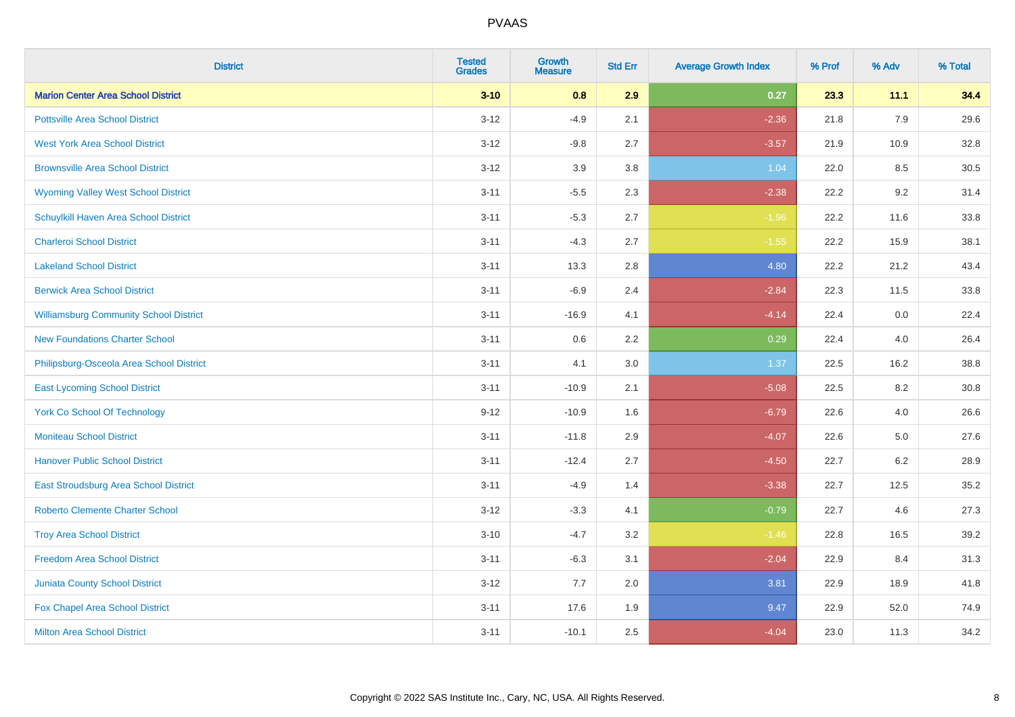| <b>District</b>                               | <b>Tested</b><br><b>Grades</b> | <b>Growth</b><br><b>Measure</b> | <b>Std Err</b> | <b>Average Growth Index</b> | % Prof | % Adv | % Total |
|-----------------------------------------------|--------------------------------|---------------------------------|----------------|-----------------------------|--------|-------|---------|
| <b>Marion Center Area School District</b>     | $3 - 10$                       | 0.8                             | 2.9            | 0.27                        | 23.3   | 11.1  | 34.4    |
| <b>Pottsville Area School District</b>        | $3 - 12$                       | $-4.9$                          | 2.1            | $-2.36$                     | 21.8   | 7.9   | 29.6    |
| <b>West York Area School District</b>         | $3 - 12$                       | $-9.8$                          | 2.7            | $-3.57$                     | 21.9   | 10.9  | 32.8    |
| <b>Brownsville Area School District</b>       | $3 - 12$                       | 3.9                             | 3.8            | 1.04                        | 22.0   | 8.5   | 30.5    |
| <b>Wyoming Valley West School District</b>    | $3 - 11$                       | $-5.5$                          | 2.3            | $-2.38$                     | 22.2   | 9.2   | 31.4    |
| Schuylkill Haven Area School District         | $3 - 11$                       | $-5.3$                          | 2.7            | $-1.96$                     | 22.2   | 11.6  | 33.8    |
| <b>Charleroi School District</b>              | $3 - 11$                       | $-4.3$                          | 2.7            | $-1.55$                     | 22.2   | 15.9  | 38.1    |
| <b>Lakeland School District</b>               | $3 - 11$                       | 13.3                            | 2.8            | 4.80                        | 22.2   | 21.2  | 43.4    |
| <b>Berwick Area School District</b>           | $3 - 11$                       | $-6.9$                          | 2.4            | $-2.84$                     | 22.3   | 11.5  | 33.8    |
| <b>Williamsburg Community School District</b> | $3 - 11$                       | $-16.9$                         | 4.1            | $-4.14$                     | 22.4   | 0.0   | 22.4    |
| <b>New Foundations Charter School</b>         | $3 - 11$                       | 0.6                             | 2.2            | 0.29                        | 22.4   | 4.0   | 26.4    |
| Philipsburg-Osceola Area School District      | $3 - 11$                       | 4.1                             | 3.0            | 1.37                        | 22.5   | 16.2  | 38.8    |
| <b>East Lycoming School District</b>          | $3 - 11$                       | $-10.9$                         | 2.1            | $-5.08$                     | 22.5   | 8.2   | 30.8    |
| <b>York Co School Of Technology</b>           | $9 - 12$                       | $-10.9$                         | 1.6            | $-6.79$                     | 22.6   | 4.0   | 26.6    |
| <b>Moniteau School District</b>               | $3 - 11$                       | $-11.8$                         | 2.9            | $-4.07$                     | 22.6   | 5.0   | 27.6    |
| <b>Hanover Public School District</b>         | $3 - 11$                       | $-12.4$                         | 2.7            | $-4.50$                     | 22.7   | 6.2   | 28.9    |
| <b>East Stroudsburg Area School District</b>  | $3 - 11$                       | $-4.9$                          | 1.4            | $-3.38$                     | 22.7   | 12.5  | 35.2    |
| <b>Roberto Clemente Charter School</b>        | $3 - 12$                       | $-3.3$                          | 4.1            | $-0.79$                     | 22.7   | 4.6   | 27.3    |
| <b>Troy Area School District</b>              | $3 - 10$                       | $-4.7$                          | 3.2            | $-1.46$                     | 22.8   | 16.5  | 39.2    |
| <b>Freedom Area School District</b>           | $3 - 11$                       | $-6.3$                          | 3.1            | $-2.04$                     | 22.9   | 8.4   | 31.3    |
| Juniata County School District                | $3 - 12$                       | 7.7                             | 2.0            | 3.81                        | 22.9   | 18.9  | 41.8    |
| Fox Chapel Area School District               | $3 - 11$                       | 17.6                            | 1.9            | 9.47                        | 22.9   | 52.0  | 74.9    |
| <b>Milton Area School District</b>            | $3 - 11$                       | $-10.1$                         | 2.5            | $-4.04$                     | 23.0   | 11.3  | 34.2    |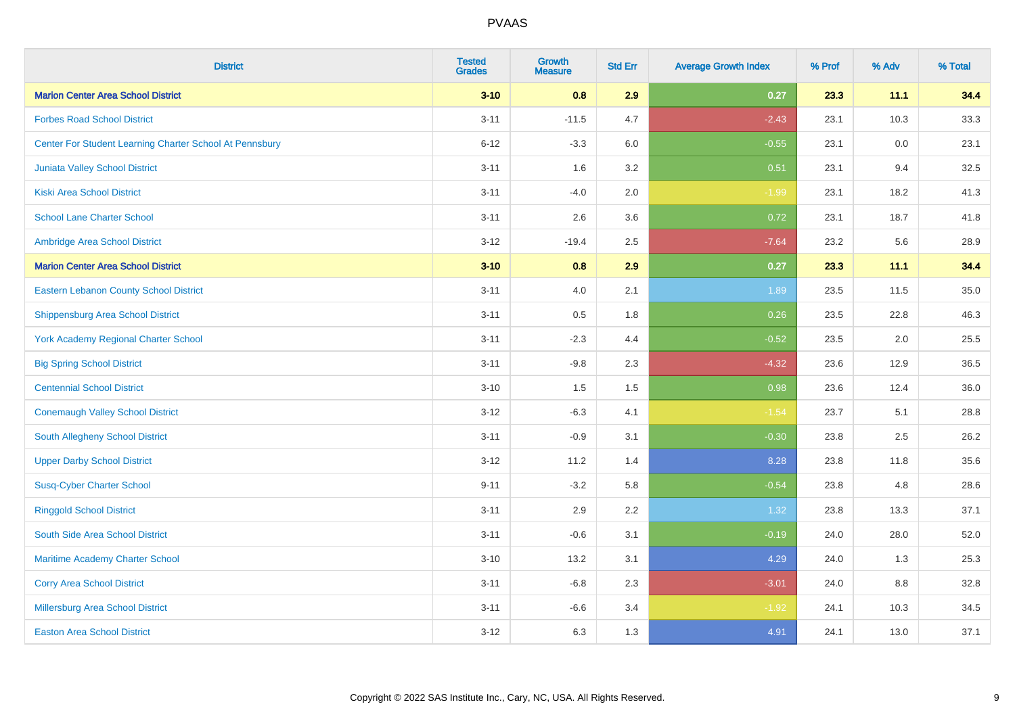| <b>District</b>                                         | <b>Tested</b><br><b>Grades</b> | <b>Growth</b><br><b>Measure</b> | <b>Std Err</b> | <b>Average Growth Index</b> | % Prof | % Adv | % Total |
|---------------------------------------------------------|--------------------------------|---------------------------------|----------------|-----------------------------|--------|-------|---------|
| <b>Marion Center Area School District</b>               | $3 - 10$                       | 0.8                             | 2.9            | 0.27                        | 23.3   | 11.1  | 34.4    |
| <b>Forbes Road School District</b>                      | $3 - 11$                       | $-11.5$                         | 4.7            | $-2.43$                     | 23.1   | 10.3  | 33.3    |
| Center For Student Learning Charter School At Pennsbury | $6 - 12$                       | $-3.3$                          | 6.0            | $-0.55$                     | 23.1   | 0.0   | 23.1    |
| <b>Juniata Valley School District</b>                   | $3 - 11$                       | 1.6                             | 3.2            | 0.51                        | 23.1   | 9.4   | 32.5    |
| <b>Kiski Area School District</b>                       | $3 - 11$                       | $-4.0$                          | 2.0            | $-1.99$                     | 23.1   | 18.2  | 41.3    |
| <b>School Lane Charter School</b>                       | $3 - 11$                       | 2.6                             | 3.6            | 0.72                        | 23.1   | 18.7  | 41.8    |
| Ambridge Area School District                           | $3 - 12$                       | $-19.4$                         | 2.5            | $-7.64$                     | 23.2   | 5.6   | 28.9    |
| <b>Marion Center Area School District</b>               | $3 - 10$                       | 0.8                             | 2.9            | 0.27                        | 23.3   | 11.1  | 34.4    |
| <b>Eastern Lebanon County School District</b>           | $3 - 11$                       | 4.0                             | 2.1            | 1.89                        | 23.5   | 11.5  | 35.0    |
| <b>Shippensburg Area School District</b>                | $3 - 11$                       | 0.5                             | 1.8            | 0.26                        | 23.5   | 22.8  | 46.3    |
| <b>York Academy Regional Charter School</b>             | $3 - 11$                       | $-2.3$                          | 4.4            | $-0.52$                     | 23.5   | 2.0   | 25.5    |
| <b>Big Spring School District</b>                       | $3 - 11$                       | $-9.8$                          | 2.3            | $-4.32$                     | 23.6   | 12.9  | 36.5    |
| <b>Centennial School District</b>                       | $3 - 10$                       | 1.5                             | 1.5            | 0.98                        | 23.6   | 12.4  | 36.0    |
| <b>Conemaugh Valley School District</b>                 | $3 - 12$                       | $-6.3$                          | 4.1            | $-1.54$                     | 23.7   | 5.1   | 28.8    |
| South Allegheny School District                         | $3 - 11$                       | $-0.9$                          | 3.1            | $-0.30$                     | 23.8   | 2.5   | 26.2    |
| <b>Upper Darby School District</b>                      | $3 - 12$                       | 11.2                            | 1.4            | 8.28                        | 23.8   | 11.8  | 35.6    |
| <b>Susq-Cyber Charter School</b>                        | $9 - 11$                       | $-3.2$                          | 5.8            | $-0.54$                     | 23.8   | 4.8   | 28.6    |
| <b>Ringgold School District</b>                         | $3 - 11$                       | 2.9                             | 2.2            | 1.32                        | 23.8   | 13.3  | 37.1    |
| South Side Area School District                         | $3 - 11$                       | $-0.6$                          | 3.1            | $-0.19$                     | 24.0   | 28.0  | 52.0    |
| Maritime Academy Charter School                         | $3 - 10$                       | 13.2                            | 3.1            | 4.29                        | 24.0   | 1.3   | 25.3    |
| <b>Corry Area School District</b>                       | $3 - 11$                       | $-6.8$                          | 2.3            | $-3.01$                     | 24.0   | 8.8   | 32.8    |
| Millersburg Area School District                        | $3 - 11$                       | $-6.6$                          | 3.4            | $-1.92$                     | 24.1   | 10.3  | 34.5    |
| <b>Easton Area School District</b>                      | $3 - 12$                       | 6.3                             | 1.3            | 4.91                        | 24.1   | 13.0  | 37.1    |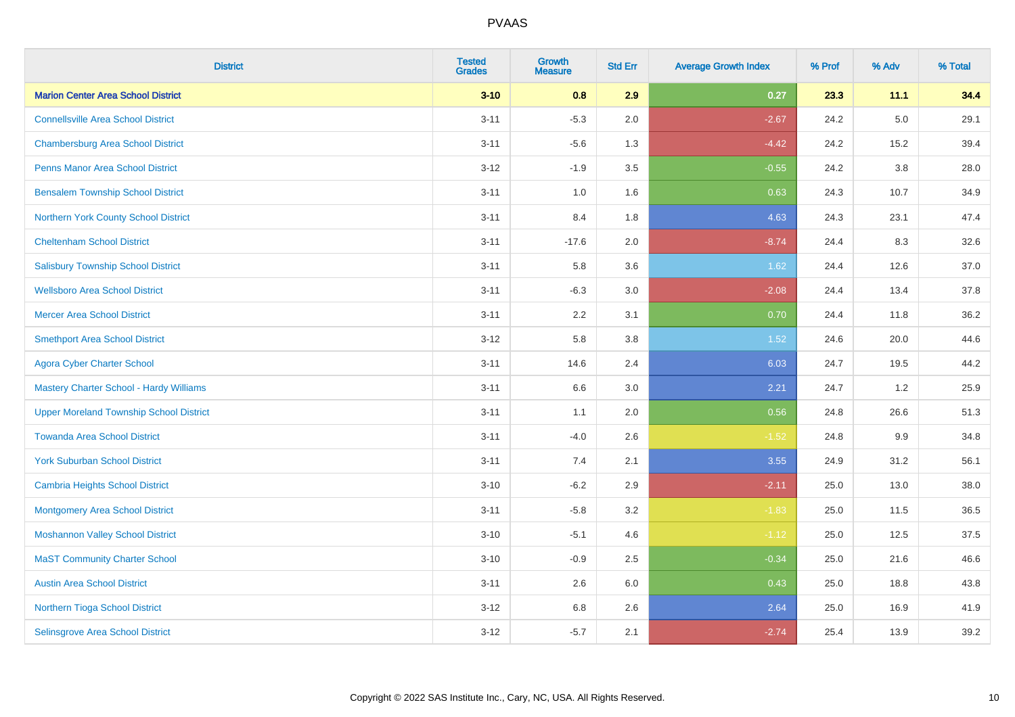| <b>District</b>                                | <b>Tested</b><br><b>Grades</b> | <b>Growth</b><br><b>Measure</b> | <b>Std Err</b> | <b>Average Growth Index</b> | % Prof | % Adv   | % Total |
|------------------------------------------------|--------------------------------|---------------------------------|----------------|-----------------------------|--------|---------|---------|
| <b>Marion Center Area School District</b>      | $3 - 10$                       | 0.8                             | 2.9            | 0.27                        | 23.3   | 11.1    | 34.4    |
| <b>Connellsville Area School District</b>      | $3 - 11$                       | $-5.3$                          | 2.0            | $-2.67$                     | 24.2   | $5.0\,$ | 29.1    |
| <b>Chambersburg Area School District</b>       | $3 - 11$                       | $-5.6$                          | 1.3            | $-4.42$                     | 24.2   | 15.2    | 39.4    |
| <b>Penns Manor Area School District</b>        | $3 - 12$                       | $-1.9$                          | 3.5            | $-0.55$                     | 24.2   | $3.8\,$ | 28.0    |
| <b>Bensalem Township School District</b>       | $3 - 11$                       | 1.0                             | 1.6            | 0.63                        | 24.3   | 10.7    | 34.9    |
| Northern York County School District           | $3 - 11$                       | 8.4                             | 1.8            | 4.63                        | 24.3   | 23.1    | 47.4    |
| <b>Cheltenham School District</b>              | $3 - 11$                       | $-17.6$                         | 2.0            | $-8.74$                     | 24.4   | 8.3     | 32.6    |
| <b>Salisbury Township School District</b>      | $3 - 11$                       | 5.8                             | 3.6            | 1.62                        | 24.4   | 12.6    | 37.0    |
| <b>Wellsboro Area School District</b>          | $3 - 11$                       | $-6.3$                          | 3.0            | $-2.08$                     | 24.4   | 13.4    | 37.8    |
| <b>Mercer Area School District</b>             | $3 - 11$                       | 2.2                             | 3.1            | 0.70                        | 24.4   | 11.8    | 36.2    |
| <b>Smethport Area School District</b>          | $3 - 12$                       | 5.8                             | 3.8            | 1.52                        | 24.6   | 20.0    | 44.6    |
| <b>Agora Cyber Charter School</b>              | $3 - 11$                       | 14.6                            | 2.4            | 6.03                        | 24.7   | 19.5    | 44.2    |
| <b>Mastery Charter School - Hardy Williams</b> | $3 - 11$                       | 6.6                             | 3.0            | 2.21                        | 24.7   | 1.2     | 25.9    |
| <b>Upper Moreland Township School District</b> | $3 - 11$                       | 1.1                             | 2.0            | 0.56                        | 24.8   | 26.6    | 51.3    |
| <b>Towanda Area School District</b>            | $3 - 11$                       | $-4.0$                          | 2.6            | $-1.52$                     | 24.8   | 9.9     | 34.8    |
| <b>York Suburban School District</b>           | $3 - 11$                       | 7.4                             | 2.1            | 3.55                        | 24.9   | 31.2    | 56.1    |
| <b>Cambria Heights School District</b>         | $3 - 10$                       | $-6.2$                          | 2.9            | $-2.11$                     | 25.0   | 13.0    | 38.0    |
| <b>Montgomery Area School District</b>         | $3 - 11$                       | $-5.8$                          | 3.2            | $-1.83$                     | 25.0   | 11.5    | 36.5    |
| <b>Moshannon Valley School District</b>        | $3 - 10$                       | $-5.1$                          | 4.6            | $-1.12$                     | 25.0   | 12.5    | 37.5    |
| <b>MaST Community Charter School</b>           | $3 - 10$                       | $-0.9$                          | 2.5            | $-0.34$                     | 25.0   | 21.6    | 46.6    |
| <b>Austin Area School District</b>             | $3 - 11$                       | 2.6                             | 6.0            | 0.43                        | 25.0   | 18.8    | 43.8    |
| Northern Tioga School District                 | $3 - 12$                       | 6.8                             | 2.6            | 2.64                        | 25.0   | 16.9    | 41.9    |
| Selinsgrove Area School District               | $3 - 12$                       | $-5.7$                          | 2.1            | $-2.74$                     | 25.4   | 13.9    | 39.2    |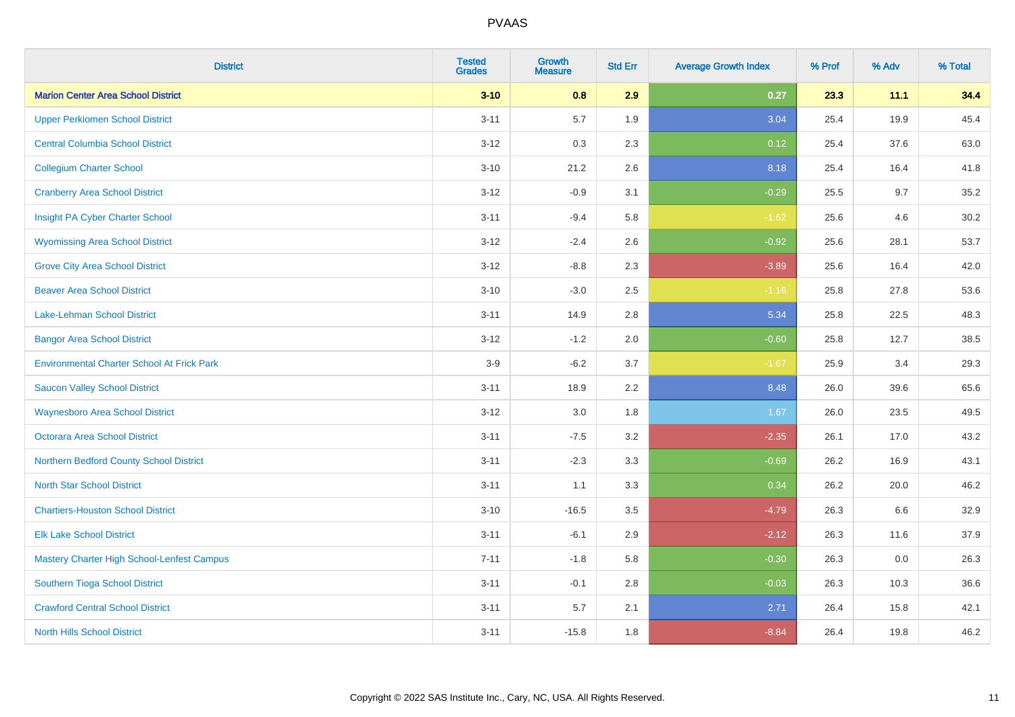| <b>District</b>                                   | <b>Tested</b><br><b>Grades</b> | <b>Growth</b><br><b>Measure</b> | <b>Std Err</b> | <b>Average Growth Index</b> | % Prof | % Adv | % Total |
|---------------------------------------------------|--------------------------------|---------------------------------|----------------|-----------------------------|--------|-------|---------|
| <b>Marion Center Area School District</b>         | $3 - 10$                       | 0.8                             | 2.9            | 0.27                        | 23.3   | 11.1  | 34.4    |
| <b>Upper Perkiomen School District</b>            | $3 - 11$                       | 5.7                             | 1.9            | 3.04                        | 25.4   | 19.9  | 45.4    |
| <b>Central Columbia School District</b>           | $3 - 12$                       | 0.3                             | 2.3            | 0.12                        | 25.4   | 37.6  | 63.0    |
| <b>Collegium Charter School</b>                   | $3 - 10$                       | 21.2                            | 2.6            | 8.18                        | 25.4   | 16.4  | 41.8    |
| <b>Cranberry Area School District</b>             | $3 - 12$                       | $-0.9$                          | 3.1            | $-0.29$                     | 25.5   | 9.7   | 35.2    |
| Insight PA Cyber Charter School                   | $3 - 11$                       | $-9.4$                          | 5.8            | $-1.62$                     | 25.6   | 4.6   | 30.2    |
| <b>Wyomissing Area School District</b>            | $3 - 12$                       | $-2.4$                          | 2.6            | $-0.92$                     | 25.6   | 28.1  | 53.7    |
| <b>Grove City Area School District</b>            | $3 - 12$                       | $-8.8$                          | 2.3            | $-3.89$                     | 25.6   | 16.4  | 42.0    |
| <b>Beaver Area School District</b>                | $3 - 10$                       | $-3.0$                          | 2.5            | $-1.16$                     | 25.8   | 27.8  | 53.6    |
| Lake-Lehman School District                       | $3 - 11$                       | 14.9                            | 2.8            | 5.34                        | 25.8   | 22.5  | 48.3    |
| <b>Bangor Area School District</b>                | $3 - 12$                       | $-1.2$                          | 2.0            | $-0.60$                     | 25.8   | 12.7  | 38.5    |
| <b>Environmental Charter School At Frick Park</b> | $3-9$                          | $-6.2$                          | 3.7            | $-1.67$                     | 25.9   | 3.4   | 29.3    |
| <b>Saucon Valley School District</b>              | $3 - 11$                       | 18.9                            | 2.2            | 8.48                        | 26.0   | 39.6  | 65.6    |
| <b>Waynesboro Area School District</b>            | $3 - 12$                       | 3.0                             | 1.8            | 1.67                        | 26.0   | 23.5  | 49.5    |
| <b>Octorara Area School District</b>              | $3 - 11$                       | $-7.5$                          | 3.2            | $-2.35$                     | 26.1   | 17.0  | 43.2    |
| Northern Bedford County School District           | $3 - 11$                       | $-2.3$                          | 3.3            | $-0.69$                     | 26.2   | 16.9  | 43.1    |
| <b>North Star School District</b>                 | $3 - 11$                       | 1.1                             | 3.3            | 0.34                        | 26.2   | 20.0  | 46.2    |
| <b>Chartiers-Houston School District</b>          | $3 - 10$                       | $-16.5$                         | 3.5            | $-4.79$                     | 26.3   | 6.6   | 32.9    |
| <b>Elk Lake School District</b>                   | $3 - 11$                       | $-6.1$                          | 2.9            | $-2.12$                     | 26.3   | 11.6  | 37.9    |
| Mastery Charter High School-Lenfest Campus        | $7 - 11$                       | $-1.8$                          | 5.8            | $-0.30$                     | 26.3   | 0.0   | 26.3    |
| Southern Tioga School District                    | $3 - 11$                       | $-0.1$                          | 2.8            | $-0.03$                     | 26.3   | 10.3  | 36.6    |
| <b>Crawford Central School District</b>           | $3 - 11$                       | 5.7                             | 2.1            | 2.71                        | 26.4   | 15.8  | 42.1    |
| <b>North Hills School District</b>                | $3 - 11$                       | $-15.8$                         | 1.8            | $-8.84$                     | 26.4   | 19.8  | 46.2    |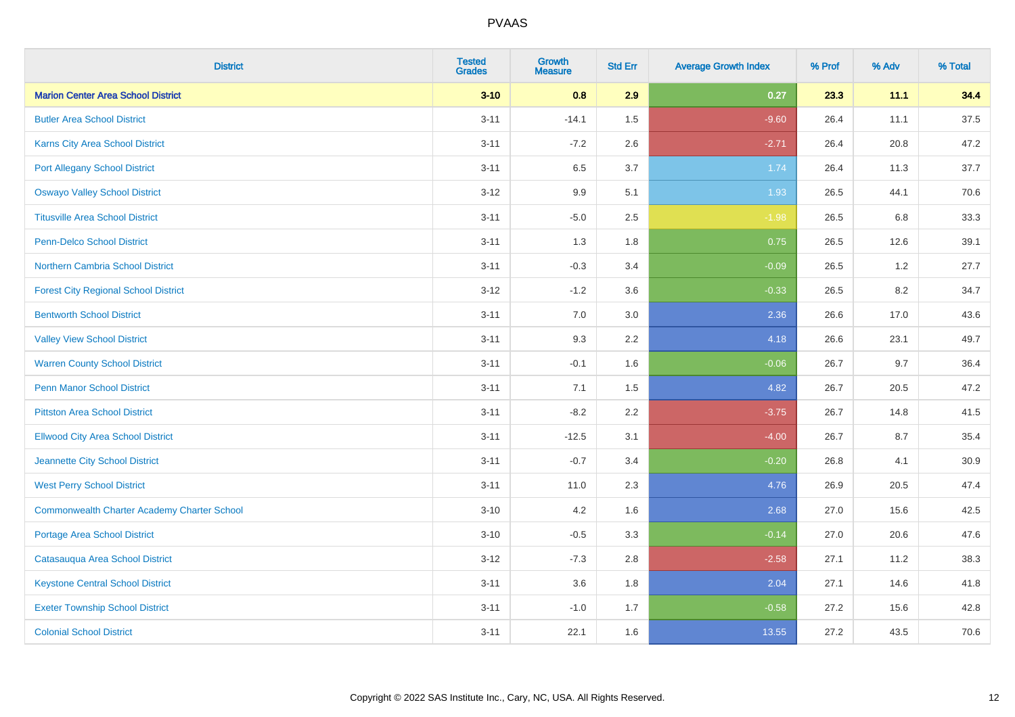| <b>District</b>                                    | <b>Tested</b><br><b>Grades</b> | <b>Growth</b><br><b>Measure</b> | <b>Std Err</b> | <b>Average Growth Index</b> | % Prof | % Adv | % Total |
|----------------------------------------------------|--------------------------------|---------------------------------|----------------|-----------------------------|--------|-------|---------|
| <b>Marion Center Area School District</b>          | $3 - 10$                       | 0.8                             | 2.9            | 0.27                        | 23.3   | 11.1  | 34.4    |
| <b>Butler Area School District</b>                 | $3 - 11$                       | $-14.1$                         | 1.5            | $-9.60$                     | 26.4   | 11.1  | 37.5    |
| Karns City Area School District                    | $3 - 11$                       | $-7.2$                          | 2.6            | $-2.71$                     | 26.4   | 20.8  | 47.2    |
| <b>Port Allegany School District</b>               | $3 - 11$                       | 6.5                             | 3.7            | 1.74                        | 26.4   | 11.3  | 37.7    |
| <b>Oswayo Valley School District</b>               | $3-12$                         | 9.9                             | 5.1            | 1.93                        | 26.5   | 44.1  | 70.6    |
| <b>Titusville Area School District</b>             | $3 - 11$                       | $-5.0$                          | 2.5            | $-1.98$                     | 26.5   | 6.8   | 33.3    |
| Penn-Delco School District                         | $3 - 11$                       | 1.3                             | 1.8            | 0.75                        | 26.5   | 12.6  | 39.1    |
| <b>Northern Cambria School District</b>            | $3 - 11$                       | $-0.3$                          | 3.4            | $-0.09$                     | 26.5   | 1.2   | 27.7    |
| <b>Forest City Regional School District</b>        | $3 - 12$                       | $-1.2$                          | 3.6            | $-0.33$                     | 26.5   | 8.2   | 34.7    |
| <b>Bentworth School District</b>                   | $3 - 11$                       | 7.0                             | 3.0            | 2.36                        | 26.6   | 17.0  | 43.6    |
| <b>Valley View School District</b>                 | $3 - 11$                       | 9.3                             | 2.2            | 4.18                        | 26.6   | 23.1  | 49.7    |
| <b>Warren County School District</b>               | $3 - 11$                       | $-0.1$                          | 1.6            | $-0.06$                     | 26.7   | 9.7   | 36.4    |
| <b>Penn Manor School District</b>                  | $3 - 11$                       | 7.1                             | 1.5            | 4.82                        | 26.7   | 20.5  | 47.2    |
| <b>Pittston Area School District</b>               | $3 - 11$                       | $-8.2$                          | 2.2            | $-3.75$                     | 26.7   | 14.8  | 41.5    |
| <b>Ellwood City Area School District</b>           | $3 - 11$                       | $-12.5$                         | 3.1            | $-4.00$                     | 26.7   | 8.7   | 35.4    |
| Jeannette City School District                     | $3 - 11$                       | $-0.7$                          | 3.4            | $-0.20$                     | 26.8   | 4.1   | 30.9    |
| <b>West Perry School District</b>                  | $3 - 11$                       | 11.0                            | 2.3            | 4.76                        | 26.9   | 20.5  | 47.4    |
| <b>Commonwealth Charter Academy Charter School</b> | $3 - 10$                       | 4.2                             | 1.6            | 2.68                        | 27.0   | 15.6  | 42.5    |
| <b>Portage Area School District</b>                | $3 - 10$                       | $-0.5$                          | 3.3            | $-0.14$                     | 27.0   | 20.6  | 47.6    |
| Catasauqua Area School District                    | $3 - 12$                       | $-7.3$                          | 2.8            | $-2.58$                     | 27.1   | 11.2  | 38.3    |
| <b>Keystone Central School District</b>            | $3 - 11$                       | 3.6                             | 1.8            | 2.04                        | 27.1   | 14.6  | 41.8    |
| <b>Exeter Township School District</b>             | $3 - 11$                       | $-1.0$                          | 1.7            | $-0.58$                     | 27.2   | 15.6  | 42.8    |
| <b>Colonial School District</b>                    | $3 - 11$                       | 22.1                            | 1.6            | 13.55                       | 27.2   | 43.5  | 70.6    |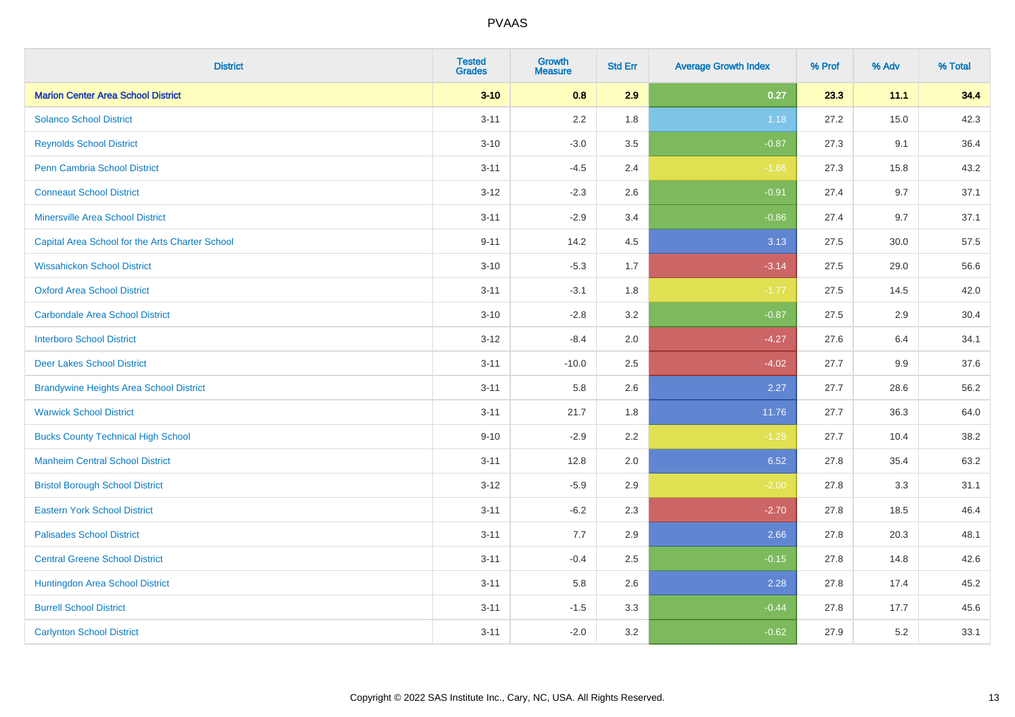| <b>District</b>                                 | <b>Tested</b><br><b>Grades</b> | Growth<br><b>Measure</b> | <b>Std Err</b> | <b>Average Growth Index</b> | % Prof | % Adv | % Total |
|-------------------------------------------------|--------------------------------|--------------------------|----------------|-----------------------------|--------|-------|---------|
| <b>Marion Center Area School District</b>       | $3 - 10$                       | 0.8                      | 2.9            | 0.27                        | 23.3   | 11.1  | 34.4    |
| <b>Solanco School District</b>                  | $3 - 11$                       | 2.2                      | 1.8            | 1.18                        | 27.2   | 15.0  | 42.3    |
| <b>Reynolds School District</b>                 | $3 - 10$                       | $-3.0$                   | 3.5            | $-0.87$                     | 27.3   | 9.1   | 36.4    |
| <b>Penn Cambria School District</b>             | $3 - 11$                       | $-4.5$                   | 2.4            | $-1.86$                     | 27.3   | 15.8  | 43.2    |
| <b>Conneaut School District</b>                 | $3 - 12$                       | $-2.3$                   | 2.6            | $-0.91$                     | 27.4   | 9.7   | 37.1    |
| <b>Minersville Area School District</b>         | $3 - 11$                       | $-2.9$                   | 3.4            | $-0.86$                     | 27.4   | 9.7   | 37.1    |
| Capital Area School for the Arts Charter School | $9 - 11$                       | 14.2                     | 4.5            | 3.13                        | 27.5   | 30.0  | 57.5    |
| <b>Wissahickon School District</b>              | $3 - 10$                       | $-5.3$                   | 1.7            | $-3.14$                     | 27.5   | 29.0  | 56.6    |
| <b>Oxford Area School District</b>              | $3 - 11$                       | $-3.1$                   | 1.8            | $-1.77$                     | 27.5   | 14.5  | 42.0    |
| <b>Carbondale Area School District</b>          | $3 - 10$                       | $-2.8$                   | 3.2            | $-0.87$                     | 27.5   | 2.9   | 30.4    |
| <b>Interboro School District</b>                | $3 - 12$                       | $-8.4$                   | 2.0            | $-4.27$                     | 27.6   | 6.4   | 34.1    |
| <b>Deer Lakes School District</b>               | $3 - 11$                       | $-10.0$                  | 2.5            | $-4.02$                     | 27.7   | 9.9   | 37.6    |
| <b>Brandywine Heights Area School District</b>  | $3 - 11$                       | 5.8                      | 2.6            | 2.27                        | 27.7   | 28.6  | 56.2    |
| <b>Warwick School District</b>                  | $3 - 11$                       | 21.7                     | 1.8            | 11.76                       | 27.7   | 36.3  | 64.0    |
| <b>Bucks County Technical High School</b>       | $9 - 10$                       | $-2.9$                   | 2.2            | $-1.29$                     | 27.7   | 10.4  | 38.2    |
| <b>Manheim Central School District</b>          | $3 - 11$                       | 12.8                     | 2.0            | 6.52                        | 27.8   | 35.4  | 63.2    |
| <b>Bristol Borough School District</b>          | $3 - 12$                       | $-5.9$                   | 2.9            | $-2.00$                     | 27.8   | 3.3   | 31.1    |
| <b>Eastern York School District</b>             | $3 - 11$                       | $-6.2$                   | 2.3            | $-2.70$                     | 27.8   | 18.5  | 46.4    |
| <b>Palisades School District</b>                | $3 - 11$                       | 7.7                      | 2.9            | 2.66                        | 27.8   | 20.3  | 48.1    |
| <b>Central Greene School District</b>           | $3 - 11$                       | $-0.4$                   | 2.5            | $-0.15$                     | 27.8   | 14.8  | 42.6    |
| Huntingdon Area School District                 | $3 - 11$                       | 5.8                      | 2.6            | 2.28                        | 27.8   | 17.4  | 45.2    |
| <b>Burrell School District</b>                  | $3 - 11$                       | $-1.5$                   | 3.3            | $-0.44$                     | 27.8   | 17.7  | 45.6    |
| <b>Carlynton School District</b>                | $3 - 11$                       | $-2.0$                   | 3.2            | $-0.62$                     | 27.9   | 5.2   | 33.1    |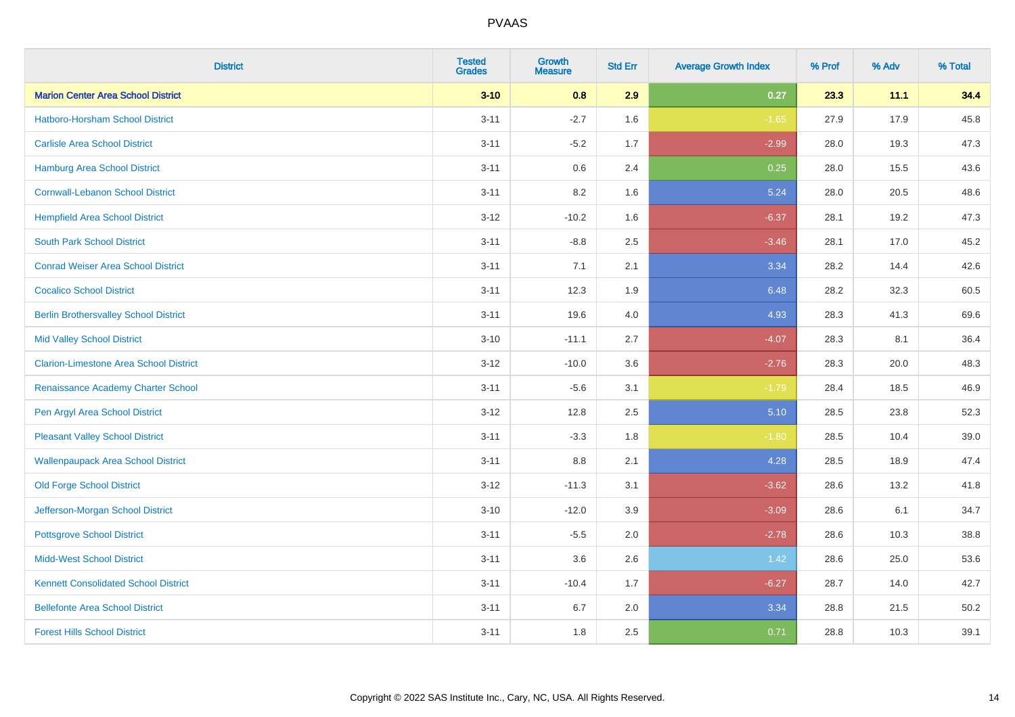| <b>District</b>                               | <b>Tested</b><br><b>Grades</b> | <b>Growth</b><br><b>Measure</b> | <b>Std Err</b> | <b>Average Growth Index</b> | % Prof | % Adv | % Total  |
|-----------------------------------------------|--------------------------------|---------------------------------|----------------|-----------------------------|--------|-------|----------|
| <b>Marion Center Area School District</b>     | $3 - 10$                       | 0.8                             | 2.9            | 0.27                        | 23.3   | 11.1  | 34.4     |
| Hatboro-Horsham School District               | $3 - 11$                       | $-2.7$                          | 1.6            | $-1.65$                     | 27.9   | 17.9  | 45.8     |
| <b>Carlisle Area School District</b>          | $3 - 11$                       | $-5.2$                          | 1.7            | $-2.99$                     | 28.0   | 19.3  | 47.3     |
| Hamburg Area School District                  | $3 - 11$                       | $0.6\,$                         | 2.4            | 0.25                        | 28.0   | 15.5  | 43.6     |
| <b>Cornwall-Lebanon School District</b>       | $3 - 11$                       | 8.2                             | 1.6            | 5.24                        | 28.0   | 20.5  | 48.6     |
| <b>Hempfield Area School District</b>         | $3 - 12$                       | $-10.2$                         | 1.6            | $-6.37$                     | 28.1   | 19.2  | 47.3     |
| <b>South Park School District</b>             | $3 - 11$                       | $-8.8$                          | 2.5            | $-3.46$                     | 28.1   | 17.0  | 45.2     |
| <b>Conrad Weiser Area School District</b>     | $3 - 11$                       | 7.1                             | 2.1            | 3.34                        | 28.2   | 14.4  | 42.6     |
| <b>Cocalico School District</b>               | $3 - 11$                       | 12.3                            | 1.9            | 6.48                        | 28.2   | 32.3  | 60.5     |
| <b>Berlin Brothersvalley School District</b>  | $3 - 11$                       | 19.6                            | 4.0            | 4.93                        | 28.3   | 41.3  | 69.6     |
| <b>Mid Valley School District</b>             | $3 - 10$                       | $-11.1$                         | 2.7            | $-4.07$                     | 28.3   | 8.1   | 36.4     |
| <b>Clarion-Limestone Area School District</b> | $3 - 12$                       | $-10.0$                         | 3.6            | $-2.76$                     | 28.3   | 20.0  | 48.3     |
| Renaissance Academy Charter School            | $3 - 11$                       | $-5.6$                          | 3.1            | $-1.79$                     | 28.4   | 18.5  | 46.9     |
| Pen Argyl Area School District                | $3 - 12$                       | 12.8                            | 2.5            | 5.10                        | 28.5   | 23.8  | 52.3     |
| <b>Pleasant Valley School District</b>        | $3 - 11$                       | $-3.3$                          | 1.8            | $-1.80$                     | 28.5   | 10.4  | $39.0\,$ |
| <b>Wallenpaupack Area School District</b>     | $3 - 11$                       | 8.8                             | 2.1            | 4.28                        | 28.5   | 18.9  | 47.4     |
| <b>Old Forge School District</b>              | $3 - 12$                       | $-11.3$                         | 3.1            | $-3.62$                     | 28.6   | 13.2  | 41.8     |
| Jefferson-Morgan School District              | $3 - 10$                       | $-12.0$                         | 3.9            | $-3.09$                     | 28.6   | 6.1   | 34.7     |
| <b>Pottsgrove School District</b>             | $3 - 11$                       | $-5.5$                          | 2.0            | $-2.78$                     | 28.6   | 10.3  | 38.8     |
| <b>Midd-West School District</b>              | $3 - 11$                       | 3.6                             | 2.6            | 1.42                        | 28.6   | 25.0  | 53.6     |
| <b>Kennett Consolidated School District</b>   | $3 - 11$                       | $-10.4$                         | 1.7            | $-6.27$                     | 28.7   | 14.0  | 42.7     |
| <b>Bellefonte Area School District</b>        | $3 - 11$                       | 6.7                             | 2.0            | 3.34                        | 28.8   | 21.5  | 50.2     |
| <b>Forest Hills School District</b>           | $3 - 11$                       | 1.8                             | 2.5            | 0.71                        | 28.8   | 10.3  | 39.1     |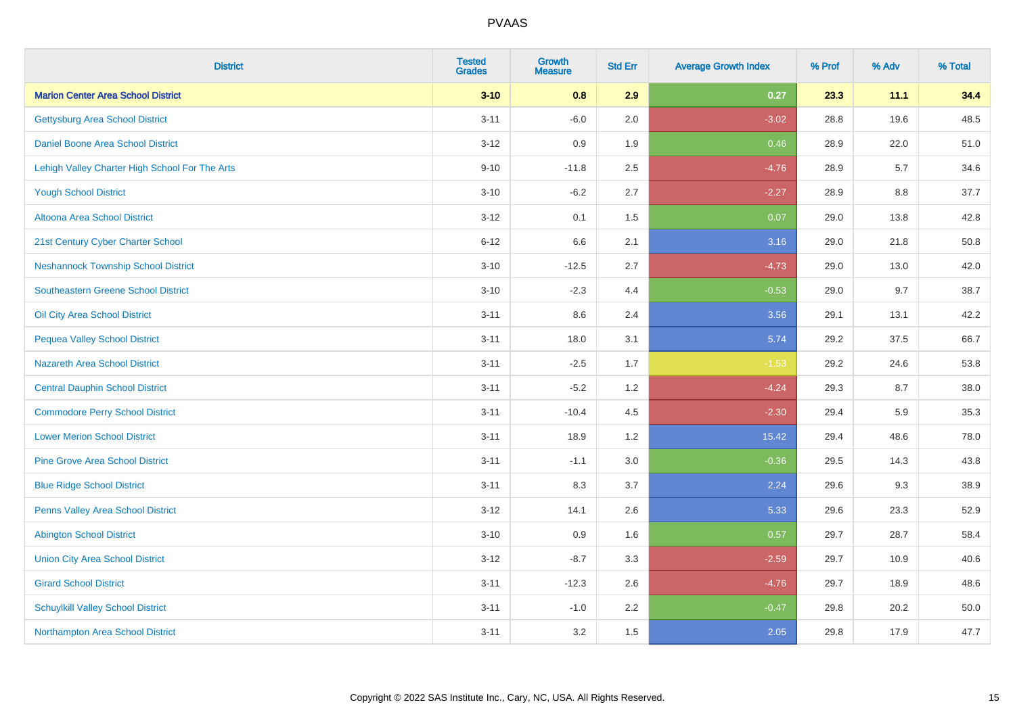| <b>District</b>                                | <b>Tested</b><br><b>Grades</b> | <b>Growth</b><br><b>Measure</b> | <b>Std Err</b> | <b>Average Growth Index</b> | % Prof | % Adv | % Total |
|------------------------------------------------|--------------------------------|---------------------------------|----------------|-----------------------------|--------|-------|---------|
| <b>Marion Center Area School District</b>      | $3 - 10$                       | 0.8                             | 2.9            | 0.27                        | 23.3   | 11.1  | 34.4    |
| <b>Gettysburg Area School District</b>         | $3 - 11$                       | $-6.0$                          | 2.0            | $-3.02$                     | 28.8   | 19.6  | 48.5    |
| Daniel Boone Area School District              | $3 - 12$                       | 0.9                             | 1.9            | 0.46                        | 28.9   | 22.0  | 51.0    |
| Lehigh Valley Charter High School For The Arts | $9 - 10$                       | $-11.8$                         | 2.5            | $-4.76$                     | 28.9   | 5.7   | 34.6    |
| <b>Yough School District</b>                   | $3 - 10$                       | $-6.2$                          | 2.7            | $-2.27$                     | 28.9   | 8.8   | 37.7    |
| Altoona Area School District                   | $3 - 12$                       | 0.1                             | 1.5            | 0.07                        | 29.0   | 13.8  | 42.8    |
| 21st Century Cyber Charter School              | $6 - 12$                       | 6.6                             | 2.1            | 3.16                        | 29.0   | 21.8  | 50.8    |
| <b>Neshannock Township School District</b>     | $3 - 10$                       | $-12.5$                         | 2.7            | $-4.73$                     | 29.0   | 13.0  | 42.0    |
| <b>Southeastern Greene School District</b>     | $3 - 10$                       | $-2.3$                          | 4.4            | $-0.53$                     | 29.0   | 9.7   | 38.7    |
| Oil City Area School District                  | $3 - 11$                       | 8.6                             | 2.4            | 3.56                        | 29.1   | 13.1  | 42.2    |
| <b>Pequea Valley School District</b>           | $3 - 11$                       | 18.0                            | 3.1            | 5.74                        | 29.2   | 37.5  | 66.7    |
| <b>Nazareth Area School District</b>           | $3 - 11$                       | $-2.5$                          | 1.7            | $-1.53$                     | 29.2   | 24.6  | 53.8    |
| <b>Central Dauphin School District</b>         | $3 - 11$                       | $-5.2$                          | 1.2            | $-4.24$                     | 29.3   | 8.7   | 38.0    |
| <b>Commodore Perry School District</b>         | $3 - 11$                       | $-10.4$                         | 4.5            | $-2.30$                     | 29.4   | 5.9   | 35.3    |
| <b>Lower Merion School District</b>            | $3 - 11$                       | 18.9                            | 1.2            | 15.42                       | 29.4   | 48.6  | 78.0    |
| <b>Pine Grove Area School District</b>         | $3 - 11$                       | $-1.1$                          | $3.0\,$        | $-0.36$                     | 29.5   | 14.3  | 43.8    |
| <b>Blue Ridge School District</b>              | $3 - 11$                       | 8.3                             | 3.7            | 2.24                        | 29.6   | 9.3   | 38.9    |
| Penns Valley Area School District              | $3 - 12$                       | 14.1                            | 2.6            | 5.33                        | 29.6   | 23.3  | 52.9    |
| <b>Abington School District</b>                | $3 - 10$                       | 0.9                             | 1.6            | 0.57                        | 29.7   | 28.7  | 58.4    |
| <b>Union City Area School District</b>         | $3 - 12$                       | $-8.7$                          | 3.3            | $-2.59$                     | 29.7   | 10.9  | 40.6    |
| <b>Girard School District</b>                  | $3 - 11$                       | $-12.3$                         | 2.6            | $-4.76$                     | 29.7   | 18.9  | 48.6    |
| <b>Schuylkill Valley School District</b>       | $3 - 11$                       | $-1.0$                          | 2.2            | $-0.47$                     | 29.8   | 20.2  | 50.0    |
| Northampton Area School District               | $3 - 11$                       | 3.2                             | 1.5            | 2.05                        | 29.8   | 17.9  | 47.7    |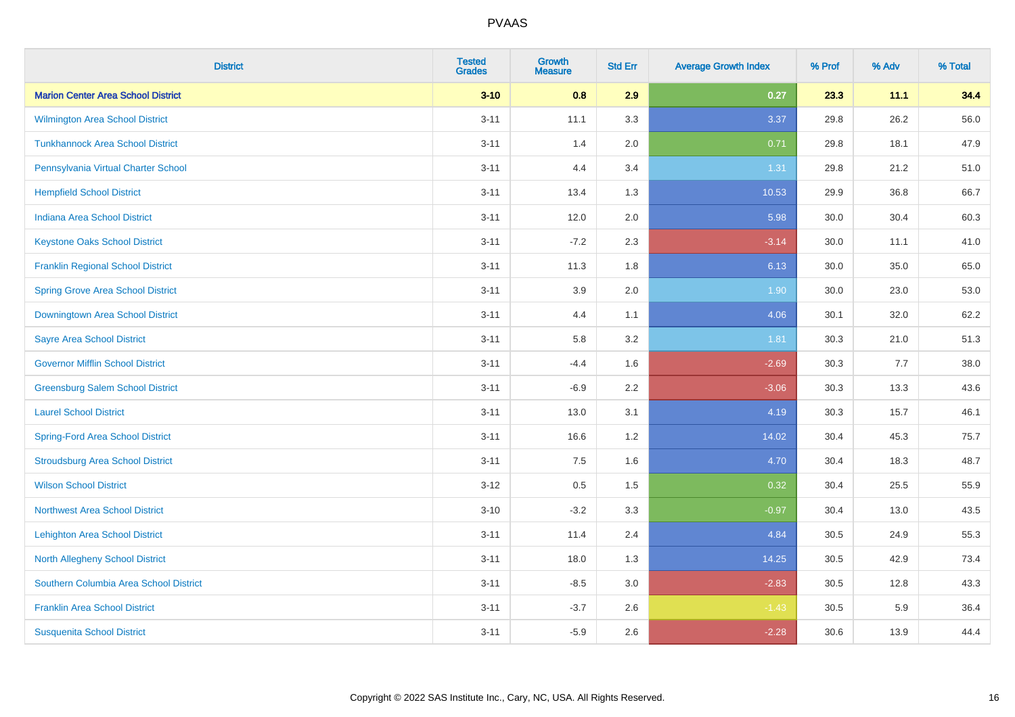| <b>District</b>                           | <b>Tested</b><br><b>Grades</b> | <b>Growth</b><br><b>Measure</b> | <b>Std Err</b> | <b>Average Growth Index</b> | % Prof | % Adv | % Total |
|-------------------------------------------|--------------------------------|---------------------------------|----------------|-----------------------------|--------|-------|---------|
| <b>Marion Center Area School District</b> | $3 - 10$                       | 0.8                             | 2.9            | 0.27                        | 23.3   | 11.1  | 34.4    |
| Wilmington Area School District           | $3 - 11$                       | 11.1                            | 3.3            | 3.37                        | 29.8   | 26.2  | 56.0    |
| <b>Tunkhannock Area School District</b>   | $3 - 11$                       | 1.4                             | 2.0            | 0.71                        | 29.8   | 18.1  | 47.9    |
| Pennsylvania Virtual Charter School       | $3 - 11$                       | 4.4                             | 3.4            | 1.31                        | 29.8   | 21.2  | 51.0    |
| <b>Hempfield School District</b>          | $3 - 11$                       | 13.4                            | 1.3            | 10.53                       | 29.9   | 36.8  | 66.7    |
| <b>Indiana Area School District</b>       | $3 - 11$                       | 12.0                            | 2.0            | 5.98                        | 30.0   | 30.4  | 60.3    |
| <b>Keystone Oaks School District</b>      | $3 - 11$                       | $-7.2$                          | 2.3            | $-3.14$                     | 30.0   | 11.1  | 41.0    |
| <b>Franklin Regional School District</b>  | $3 - 11$                       | 11.3                            | 1.8            | 6.13                        | 30.0   | 35.0  | 65.0    |
| <b>Spring Grove Area School District</b>  | $3 - 11$                       | 3.9                             | 2.0            | 1.90                        | 30.0   | 23.0  | 53.0    |
| Downingtown Area School District          | $3 - 11$                       | 4.4                             | 1.1            | 4.06                        | 30.1   | 32.0  | 62.2    |
| <b>Sayre Area School District</b>         | $3 - 11$                       | 5.8                             | 3.2            | 1.81                        | 30.3   | 21.0  | 51.3    |
| <b>Governor Mifflin School District</b>   | $3 - 11$                       | $-4.4$                          | 1.6            | $-2.69$                     | 30.3   | 7.7   | 38.0    |
| <b>Greensburg Salem School District</b>   | $3 - 11$                       | $-6.9$                          | 2.2            | $-3.06$                     | 30.3   | 13.3  | 43.6    |
| <b>Laurel School District</b>             | $3 - 11$                       | 13.0                            | 3.1            | 4.19                        | 30.3   | 15.7  | 46.1    |
| <b>Spring-Ford Area School District</b>   | $3 - 11$                       | 16.6                            | 1.2            | 14.02                       | 30.4   | 45.3  | 75.7    |
| <b>Stroudsburg Area School District</b>   | $3 - 11$                       | 7.5                             | 1.6            | 4.70                        | 30.4   | 18.3  | 48.7    |
| <b>Wilson School District</b>             | $3 - 12$                       | 0.5                             | 1.5            | 0.32                        | 30.4   | 25.5  | 55.9    |
| <b>Northwest Area School District</b>     | $3 - 10$                       | $-3.2$                          | 3.3            | $-0.97$                     | 30.4   | 13.0  | 43.5    |
| <b>Lehighton Area School District</b>     | $3 - 11$                       | 11.4                            | 2.4            | 4.84                        | 30.5   | 24.9  | 55.3    |
| <b>North Allegheny School District</b>    | $3 - 11$                       | 18.0                            | 1.3            | 14.25                       | 30.5   | 42.9  | 73.4    |
| Southern Columbia Area School District    | $3 - 11$                       | $-8.5$                          | 3.0            | $-2.83$                     | 30.5   | 12.8  | 43.3    |
| <b>Franklin Area School District</b>      | $3 - 11$                       | $-3.7$                          | 2.6            | $-1.43$                     | 30.5   | 5.9   | 36.4    |
| <b>Susquenita School District</b>         | $3 - 11$                       | $-5.9$                          | 2.6            | $-2.28$                     | 30.6   | 13.9  | 44.4    |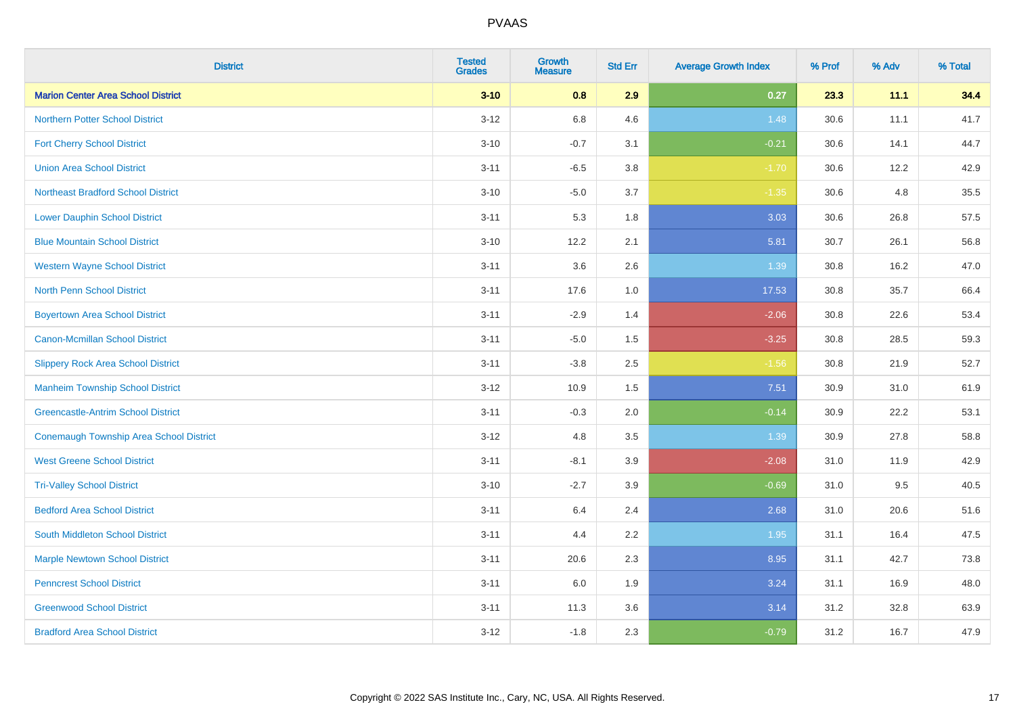| <b>District</b>                           | <b>Tested</b><br><b>Grades</b> | <b>Growth</b><br><b>Measure</b> | <b>Std Err</b> | <b>Average Growth Index</b> | % Prof | % Adv | % Total |
|-------------------------------------------|--------------------------------|---------------------------------|----------------|-----------------------------|--------|-------|---------|
| <b>Marion Center Area School District</b> | $3 - 10$                       | 0.8                             | 2.9            | 0.27                        | 23.3   | 11.1  | 34.4    |
| <b>Northern Potter School District</b>    | $3 - 12$                       | $6.8\,$                         | 4.6            | 1.48                        | 30.6   | 11.1  | 41.7    |
| <b>Fort Cherry School District</b>        | $3 - 10$                       | $-0.7$                          | 3.1            | $-0.21$                     | 30.6   | 14.1  | 44.7    |
| <b>Union Area School District</b>         | $3 - 11$                       | $-6.5$                          | 3.8            | $-1.70$                     | 30.6   | 12.2  | 42.9    |
| <b>Northeast Bradford School District</b> | $3 - 10$                       | $-5.0$                          | 3.7            | $-1.35$                     | 30.6   | 4.8   | 35.5    |
| <b>Lower Dauphin School District</b>      | $3 - 11$                       | 5.3                             | 1.8            | 3.03                        | 30.6   | 26.8  | 57.5    |
| <b>Blue Mountain School District</b>      | $3 - 10$                       | 12.2                            | 2.1            | 5.81                        | 30.7   | 26.1  | 56.8    |
| <b>Western Wayne School District</b>      | $3 - 11$                       | 3.6                             | 2.6            | 1.39                        | 30.8   | 16.2  | 47.0    |
| <b>North Penn School District</b>         | $3 - 11$                       | 17.6                            | 1.0            | 17.53                       | 30.8   | 35.7  | 66.4    |
| <b>Boyertown Area School District</b>     | $3 - 11$                       | $-2.9$                          | 1.4            | $-2.06$                     | 30.8   | 22.6  | 53.4    |
| <b>Canon-Mcmillan School District</b>     | $3 - 11$                       | $-5.0$                          | 1.5            | $-3.25$                     | 30.8   | 28.5  | 59.3    |
| <b>Slippery Rock Area School District</b> | $3 - 11$                       | $-3.8$                          | 2.5            | $-1.56$                     | 30.8   | 21.9  | 52.7    |
| <b>Manheim Township School District</b>   | $3 - 12$                       | 10.9                            | 1.5            | 7.51                        | 30.9   | 31.0  | 61.9    |
| <b>Greencastle-Antrim School District</b> | $3 - 11$                       | $-0.3$                          | 2.0            | $-0.14$                     | 30.9   | 22.2  | 53.1    |
| Conemaugh Township Area School District   | $3 - 12$                       | 4.8                             | 3.5            | 1.39                        | 30.9   | 27.8  | 58.8    |
| <b>West Greene School District</b>        | $3 - 11$                       | $-8.1$                          | 3.9            | $-2.08$                     | 31.0   | 11.9  | 42.9    |
| <b>Tri-Valley School District</b>         | $3 - 10$                       | $-2.7$                          | 3.9            | $-0.69$                     | 31.0   | 9.5   | 40.5    |
| <b>Bedford Area School District</b>       | $3 - 11$                       | 6.4                             | 2.4            | 2.68                        | 31.0   | 20.6  | 51.6    |
| South Middleton School District           | $3 - 11$                       | 4.4                             | 2.2            | 1.95                        | 31.1   | 16.4  | 47.5    |
| <b>Marple Newtown School District</b>     | $3 - 11$                       | 20.6                            | 2.3            | 8.95                        | 31.1   | 42.7  | 73.8    |
| <b>Penncrest School District</b>          | $3 - 11$                       | 6.0                             | 1.9            | 3.24                        | 31.1   | 16.9  | 48.0    |
| <b>Greenwood School District</b>          | $3 - 11$                       | 11.3                            | 3.6            | 3.14                        | 31.2   | 32.8  | 63.9    |
| <b>Bradford Area School District</b>      | $3 - 12$                       | $-1.8$                          | 2.3            | $-0.79$                     | 31.2   | 16.7  | 47.9    |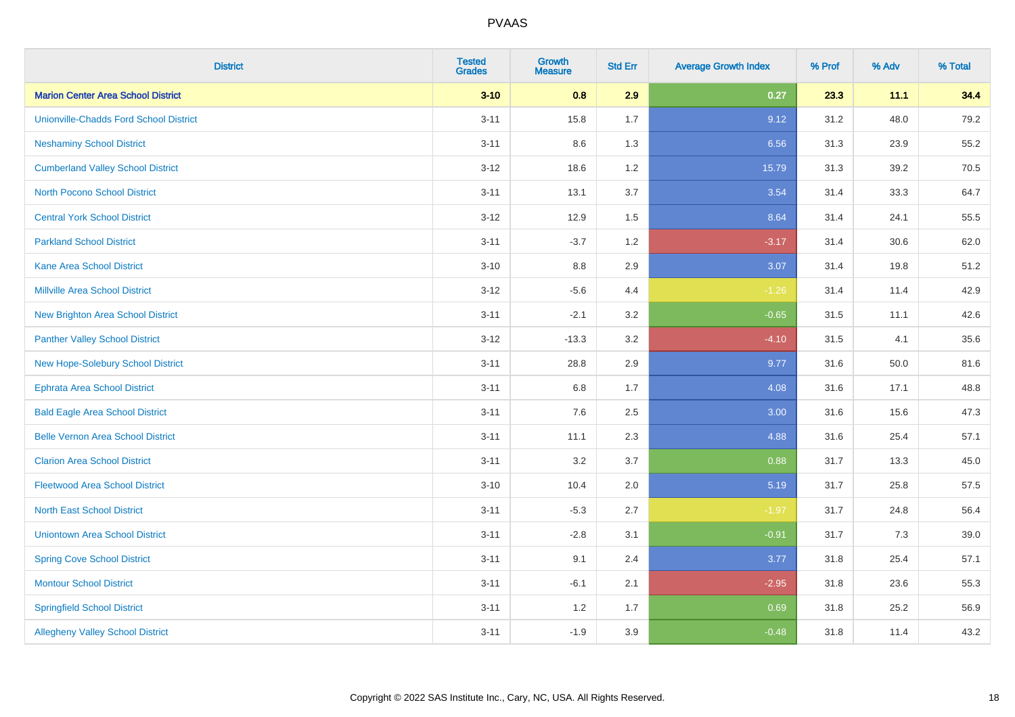| <b>District</b>                               | <b>Tested</b><br><b>Grades</b> | <b>Growth</b><br>Measure | <b>Std Err</b> | <b>Average Growth Index</b> | % Prof | % Adv | % Total |
|-----------------------------------------------|--------------------------------|--------------------------|----------------|-----------------------------|--------|-------|---------|
| <b>Marion Center Area School District</b>     | $3 - 10$                       | 0.8                      | 2.9            | 0.27                        | 23.3   | 11.1  | 34.4    |
| <b>Unionville-Chadds Ford School District</b> | $3 - 11$                       | 15.8                     | 1.7            | 9.12                        | 31.2   | 48.0  | 79.2    |
| <b>Neshaminy School District</b>              | $3 - 11$                       | 8.6                      | 1.3            | 6.56                        | 31.3   | 23.9  | 55.2    |
| <b>Cumberland Valley School District</b>      | $3 - 12$                       | 18.6                     | 1.2            | 15.79                       | 31.3   | 39.2  | 70.5    |
| <b>North Pocono School District</b>           | $3 - 11$                       | 13.1                     | 3.7            | 3.54                        | 31.4   | 33.3  | 64.7    |
| <b>Central York School District</b>           | $3 - 12$                       | 12.9                     | 1.5            | 8.64                        | 31.4   | 24.1  | 55.5    |
| <b>Parkland School District</b>               | $3 - 11$                       | $-3.7$                   | 1.2            | $-3.17$                     | 31.4   | 30.6  | 62.0    |
| <b>Kane Area School District</b>              | $3 - 10$                       | $8.8\,$                  | 2.9            | 3.07                        | 31.4   | 19.8  | 51.2    |
| <b>Millville Area School District</b>         | $3 - 12$                       | $-5.6$                   | 4.4            | $-1.26$                     | 31.4   | 11.4  | 42.9    |
| <b>New Brighton Area School District</b>      | $3 - 11$                       | $-2.1$                   | 3.2            | $-0.65$                     | 31.5   | 11.1  | 42.6    |
| <b>Panther Valley School District</b>         | $3 - 12$                       | $-13.3$                  | 3.2            | $-4.10$                     | 31.5   | 4.1   | 35.6    |
| New Hope-Solebury School District             | $3 - 11$                       | 28.8                     | 2.9            | 9.77                        | 31.6   | 50.0  | 81.6    |
| <b>Ephrata Area School District</b>           | $3 - 11$                       | $6.8\,$                  | 1.7            | 4.08                        | 31.6   | 17.1  | 48.8    |
| <b>Bald Eagle Area School District</b>        | $3 - 11$                       | 7.6                      | 2.5            | 3.00                        | 31.6   | 15.6  | 47.3    |
| <b>Belle Vernon Area School District</b>      | $3 - 11$                       | 11.1                     | 2.3            | 4.88                        | 31.6   | 25.4  | 57.1    |
| <b>Clarion Area School District</b>           | $3 - 11$                       | 3.2                      | 3.7            | 0.88                        | 31.7   | 13.3  | 45.0    |
| <b>Fleetwood Area School District</b>         | $3 - 10$                       | 10.4                     | 2.0            | 5.19                        | 31.7   | 25.8  | 57.5    |
| <b>North East School District</b>             | $3 - 11$                       | $-5.3$                   | 2.7            | $-1.97$                     | 31.7   | 24.8  | 56.4    |
| <b>Uniontown Area School District</b>         | $3 - 11$                       | $-2.8$                   | 3.1            | $-0.91$                     | 31.7   | 7.3   | 39.0    |
| <b>Spring Cove School District</b>            | $3 - 11$                       | 9.1                      | 2.4            | 3.77                        | 31.8   | 25.4  | 57.1    |
| <b>Montour School District</b>                | $3 - 11$                       | $-6.1$                   | 2.1            | $-2.95$                     | 31.8   | 23.6  | 55.3    |
| <b>Springfield School District</b>            | $3 - 11$                       | 1.2                      | 1.7            | 0.69                        | 31.8   | 25.2  | 56.9    |
| <b>Allegheny Valley School District</b>       | $3 - 11$                       | $-1.9$                   | 3.9            | $-0.48$                     | 31.8   | 11.4  | 43.2    |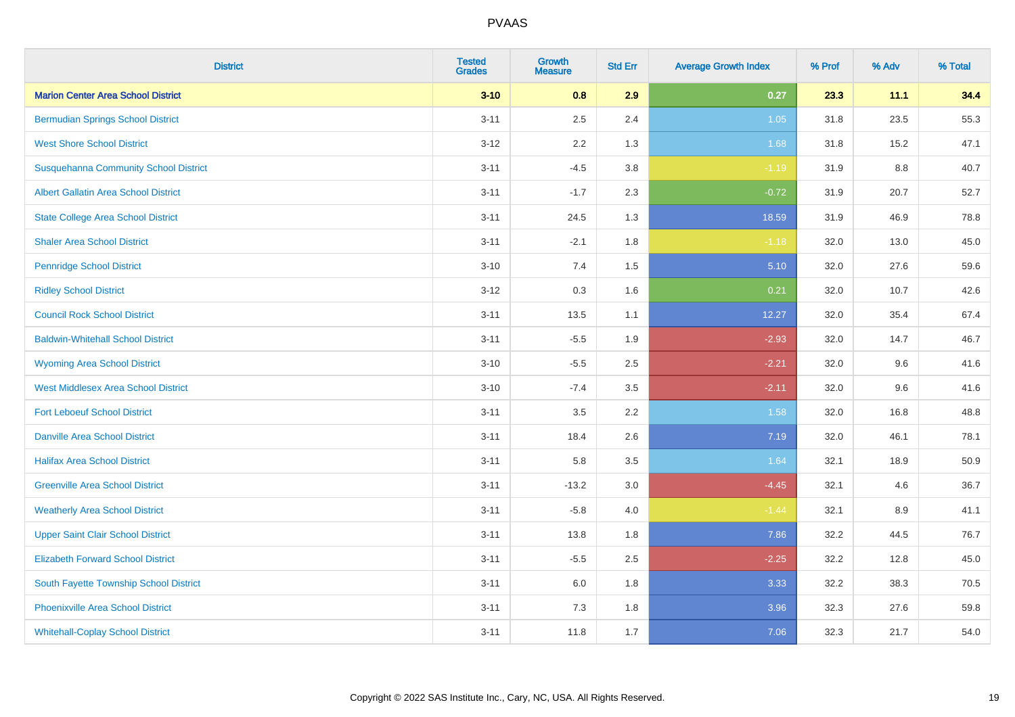| <b>District</b>                              | <b>Tested</b><br><b>Grades</b> | <b>Growth</b><br><b>Measure</b> | <b>Std Err</b> | <b>Average Growth Index</b> | % Prof | % Adv | % Total |
|----------------------------------------------|--------------------------------|---------------------------------|----------------|-----------------------------|--------|-------|---------|
| <b>Marion Center Area School District</b>    | $3 - 10$                       | 0.8                             | 2.9            | 0.27                        | 23.3   | 11.1  | 34.4    |
| <b>Bermudian Springs School District</b>     | $3 - 11$                       | 2.5                             | 2.4            | 1.05                        | 31.8   | 23.5  | 55.3    |
| <b>West Shore School District</b>            | $3 - 12$                       | 2.2                             | 1.3            | 1.68                        | 31.8   | 15.2  | 47.1    |
| <b>Susquehanna Community School District</b> | $3 - 11$                       | $-4.5$                          | 3.8            | $-1.19$                     | 31.9   | 8.8   | 40.7    |
| <b>Albert Gallatin Area School District</b>  | $3 - 11$                       | $-1.7$                          | 2.3            | $-0.72$                     | 31.9   | 20.7  | 52.7    |
| <b>State College Area School District</b>    | $3 - 11$                       | 24.5                            | 1.3            | 18.59                       | 31.9   | 46.9  | 78.8    |
| <b>Shaler Area School District</b>           | $3 - 11$                       | $-2.1$                          | 1.8            | $-1.18$                     | 32.0   | 13.0  | 45.0    |
| <b>Pennridge School District</b>             | $3 - 10$                       | 7.4                             | 1.5            | 5.10                        | 32.0   | 27.6  | 59.6    |
| <b>Ridley School District</b>                | $3 - 12$                       | 0.3                             | 1.6            | 0.21                        | 32.0   | 10.7  | 42.6    |
| <b>Council Rock School District</b>          | $3 - 11$                       | 13.5                            | 1.1            | 12.27                       | 32.0   | 35.4  | 67.4    |
| <b>Baldwin-Whitehall School District</b>     | $3 - 11$                       | $-5.5$                          | 1.9            | $-2.93$                     | 32.0   | 14.7  | 46.7    |
| <b>Wyoming Area School District</b>          | $3 - 10$                       | $-5.5$                          | 2.5            | $-2.21$                     | 32.0   | 9.6   | 41.6    |
| <b>West Middlesex Area School District</b>   | $3 - 10$                       | $-7.4$                          | 3.5            | $-2.11$                     | 32.0   | 9.6   | 41.6    |
| <b>Fort Leboeuf School District</b>          | $3 - 11$                       | 3.5                             | 2.2            | 1.58                        | 32.0   | 16.8  | 48.8    |
| <b>Danville Area School District</b>         | $3 - 11$                       | 18.4                            | 2.6            | 7.19                        | 32.0   | 46.1  | 78.1    |
| <b>Halifax Area School District</b>          | $3 - 11$                       | 5.8                             | 3.5            | 1.64                        | 32.1   | 18.9  | 50.9    |
| <b>Greenville Area School District</b>       | $3 - 11$                       | $-13.2$                         | 3.0            | $-4.45$                     | 32.1   | 4.6   | 36.7    |
| <b>Weatherly Area School District</b>        | $3 - 11$                       | $-5.8$                          | 4.0            | $-1.44$                     | 32.1   | 8.9   | 41.1    |
| <b>Upper Saint Clair School District</b>     | $3 - 11$                       | 13.8                            | 1.8            | 7.86                        | 32.2   | 44.5  | 76.7    |
| <b>Elizabeth Forward School District</b>     | $3 - 11$                       | $-5.5$                          | 2.5            | $-2.25$                     | 32.2   | 12.8  | 45.0    |
| South Fayette Township School District       | $3 - 11$                       | 6.0                             | 1.8            | 3.33                        | 32.2   | 38.3  | 70.5    |
| <b>Phoenixville Area School District</b>     | $3 - 11$                       | 7.3                             | 1.8            | 3.96                        | 32.3   | 27.6  | 59.8    |
| <b>Whitehall-Coplay School District</b>      | $3 - 11$                       | 11.8                            | 1.7            | 7.06                        | 32.3   | 21.7  | 54.0    |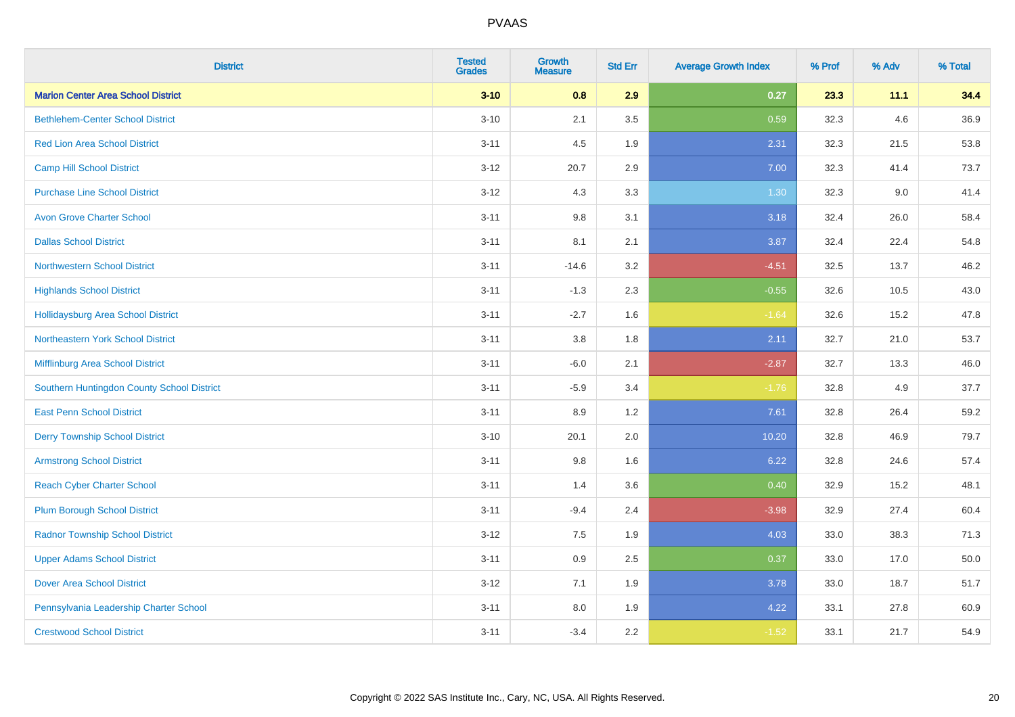| <b>District</b>                            | <b>Tested</b><br><b>Grades</b> | <b>Growth</b><br><b>Measure</b> | <b>Std Err</b> | <b>Average Growth Index</b> | % Prof | % Adv | % Total |
|--------------------------------------------|--------------------------------|---------------------------------|----------------|-----------------------------|--------|-------|---------|
| <b>Marion Center Area School District</b>  | $3 - 10$                       | 0.8                             | 2.9            | 0.27                        | 23.3   | 11.1  | 34.4    |
| <b>Bethlehem-Center School District</b>    | $3 - 10$                       | 2.1                             | 3.5            | 0.59                        | 32.3   | 4.6   | 36.9    |
| <b>Red Lion Area School District</b>       | $3 - 11$                       | 4.5                             | 1.9            | 2.31                        | 32.3   | 21.5  | 53.8    |
| <b>Camp Hill School District</b>           | $3 - 12$                       | 20.7                            | 2.9            | 7.00                        | 32.3   | 41.4  | 73.7    |
| <b>Purchase Line School District</b>       | $3 - 12$                       | 4.3                             | 3.3            | 1.30                        | 32.3   | 9.0   | 41.4    |
| <b>Avon Grove Charter School</b>           | $3 - 11$                       | $9.8\,$                         | 3.1            | 3.18                        | 32.4   | 26.0  | 58.4    |
| <b>Dallas School District</b>              | $3 - 11$                       | 8.1                             | 2.1            | 3.87                        | 32.4   | 22.4  | 54.8    |
| <b>Northwestern School District</b>        | $3 - 11$                       | $-14.6$                         | 3.2            | $-4.51$                     | 32.5   | 13.7  | 46.2    |
| <b>Highlands School District</b>           | $3 - 11$                       | $-1.3$                          | 2.3            | $-0.55$                     | 32.6   | 10.5  | 43.0    |
| <b>Hollidaysburg Area School District</b>  | $3 - 11$                       | $-2.7$                          | 1.6            | $-1.64$                     | 32.6   | 15.2  | 47.8    |
| Northeastern York School District          | $3 - 11$                       | 3.8                             | 1.8            | 2.11                        | 32.7   | 21.0  | 53.7    |
| Mifflinburg Area School District           | $3 - 11$                       | $-6.0$                          | 2.1            | $-2.87$                     | 32.7   | 13.3  | 46.0    |
| Southern Huntingdon County School District | $3 - 11$                       | $-5.9$                          | 3.4            | $-1.76$                     | 32.8   | 4.9   | 37.7    |
| <b>East Penn School District</b>           | $3 - 11$                       | 8.9                             | 1.2            | 7.61                        | 32.8   | 26.4  | 59.2    |
| <b>Derry Township School District</b>      | $3 - 10$                       | 20.1                            | 2.0            | 10.20                       | 32.8   | 46.9  | 79.7    |
| <b>Armstrong School District</b>           | $3 - 11$                       | 9.8                             | 1.6            | 6.22                        | 32.8   | 24.6  | 57.4    |
| <b>Reach Cyber Charter School</b>          | $3 - 11$                       | 1.4                             | 3.6            | 0.40                        | 32.9   | 15.2  | 48.1    |
| <b>Plum Borough School District</b>        | $3 - 11$                       | $-9.4$                          | 2.4            | $-3.98$                     | 32.9   | 27.4  | 60.4    |
| <b>Radnor Township School District</b>     | $3 - 12$                       | $7.5\,$                         | 1.9            | 4.03                        | 33.0   | 38.3  | 71.3    |
| <b>Upper Adams School District</b>         | $3 - 11$                       | 0.9                             | 2.5            | 0.37                        | 33.0   | 17.0  | 50.0    |
| <b>Dover Area School District</b>          | $3 - 12$                       | 7.1                             | 1.9            | 3.78                        | 33.0   | 18.7  | 51.7    |
| Pennsylvania Leadership Charter School     | $3 - 11$                       | $8.0\,$                         | 1.9            | 4.22                        | 33.1   | 27.8  | 60.9    |
| <b>Crestwood School District</b>           | $3 - 11$                       | $-3.4$                          | 2.2            | $-1.52$                     | 33.1   | 21.7  | 54.9    |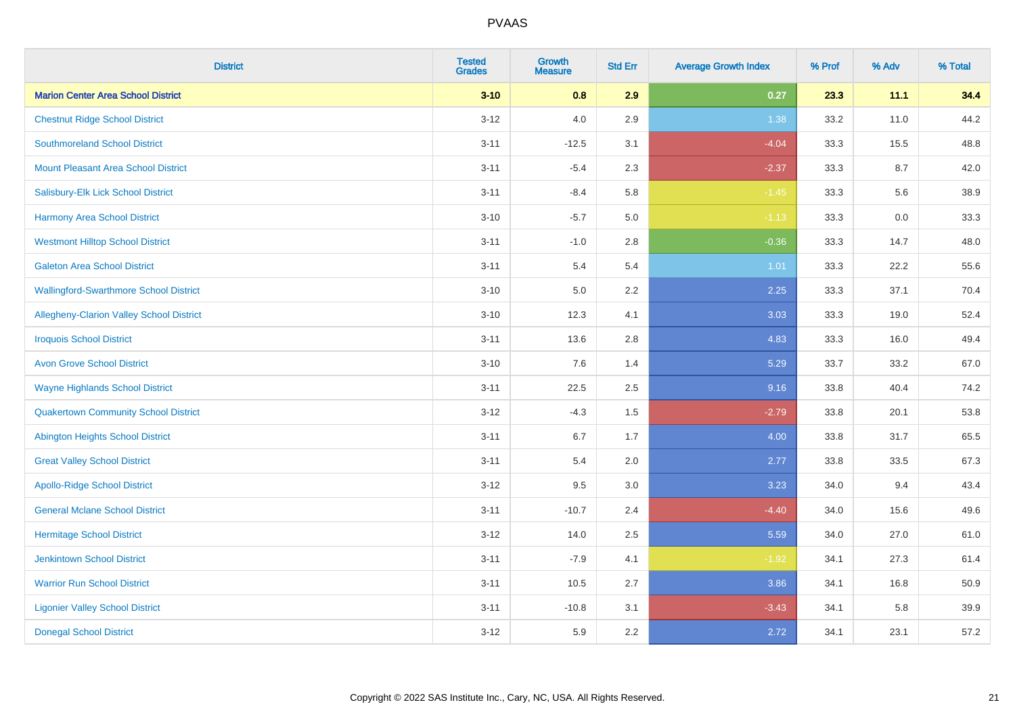| <b>District</b>                                 | <b>Tested</b><br><b>Grades</b> | <b>Growth</b><br><b>Measure</b> | <b>Std Err</b> | <b>Average Growth Index</b> | % Prof | % Adv | % Total |
|-------------------------------------------------|--------------------------------|---------------------------------|----------------|-----------------------------|--------|-------|---------|
| <b>Marion Center Area School District</b>       | $3 - 10$                       | 0.8                             | 2.9            | 0.27                        | 23.3   | 11.1  | 34.4    |
| <b>Chestnut Ridge School District</b>           | $3 - 12$                       | 4.0                             | 2.9            | 1.38                        | 33.2   | 11.0  | 44.2    |
| <b>Southmoreland School District</b>            | $3 - 11$                       | $-12.5$                         | 3.1            | $-4.04$                     | 33.3   | 15.5  | 48.8    |
| <b>Mount Pleasant Area School District</b>      | $3 - 11$                       | $-5.4$                          | 2.3            | $-2.37$                     | 33.3   | 8.7   | 42.0    |
| Salisbury-Elk Lick School District              | $3 - 11$                       | $-8.4$                          | 5.8            | $-1.45$                     | 33.3   | 5.6   | 38.9    |
| <b>Harmony Area School District</b>             | $3 - 10$                       | $-5.7$                          | 5.0            | $-1.13$                     | 33.3   | 0.0   | 33.3    |
| <b>Westmont Hilltop School District</b>         | $3 - 11$                       | $-1.0$                          | 2.8            | $-0.36$                     | 33.3   | 14.7  | 48.0    |
| <b>Galeton Area School District</b>             | $3 - 11$                       | 5.4                             | 5.4            | 1.01                        | 33.3   | 22.2  | 55.6    |
| <b>Wallingford-Swarthmore School District</b>   | $3 - 10$                       | 5.0                             | 2.2            | 2.25                        | 33.3   | 37.1  | 70.4    |
| <b>Allegheny-Clarion Valley School District</b> | $3 - 10$                       | 12.3                            | 4.1            | 3.03                        | 33.3   | 19.0  | 52.4    |
| <b>Iroquois School District</b>                 | $3 - 11$                       | 13.6                            | 2.8            | 4.83                        | 33.3   | 16.0  | 49.4    |
| <b>Avon Grove School District</b>               | $3 - 10$                       | 7.6                             | 1.4            | 5.29                        | 33.7   | 33.2  | 67.0    |
| <b>Wayne Highlands School District</b>          | $3 - 11$                       | 22.5                            | 2.5            | 9.16                        | 33.8   | 40.4  | 74.2    |
| <b>Quakertown Community School District</b>     | $3 - 12$                       | $-4.3$                          | $1.5\,$        | $-2.79$                     | 33.8   | 20.1  | 53.8    |
| <b>Abington Heights School District</b>         | $3 - 11$                       | 6.7                             | 1.7            | 4.00                        | 33.8   | 31.7  | 65.5    |
| <b>Great Valley School District</b>             | $3 - 11$                       | 5.4                             | 2.0            | 2.77                        | 33.8   | 33.5  | 67.3    |
| <b>Apollo-Ridge School District</b>             | $3 - 12$                       | 9.5                             | 3.0            | 3.23                        | 34.0   | 9.4   | 43.4    |
| <b>General Mclane School District</b>           | $3 - 11$                       | $-10.7$                         | 2.4            | $-4.40$                     | 34.0   | 15.6  | 49.6    |
| <b>Hermitage School District</b>                | $3 - 12$                       | 14.0                            | 2.5            | 5.59                        | 34.0   | 27.0  | 61.0    |
| <b>Jenkintown School District</b>               | $3 - 11$                       | $-7.9$                          | 4.1            | $-1.92$                     | 34.1   | 27.3  | 61.4    |
| <b>Warrior Run School District</b>              | $3 - 11$                       | 10.5                            | 2.7            | 3.86                        | 34.1   | 16.8  | 50.9    |
| <b>Ligonier Valley School District</b>          | $3 - 11$                       | $-10.8$                         | 3.1            | $-3.43$                     | 34.1   | 5.8   | 39.9    |
| <b>Donegal School District</b>                  | $3 - 12$                       | 5.9                             | 2.2            | 2.72                        | 34.1   | 23.1  | 57.2    |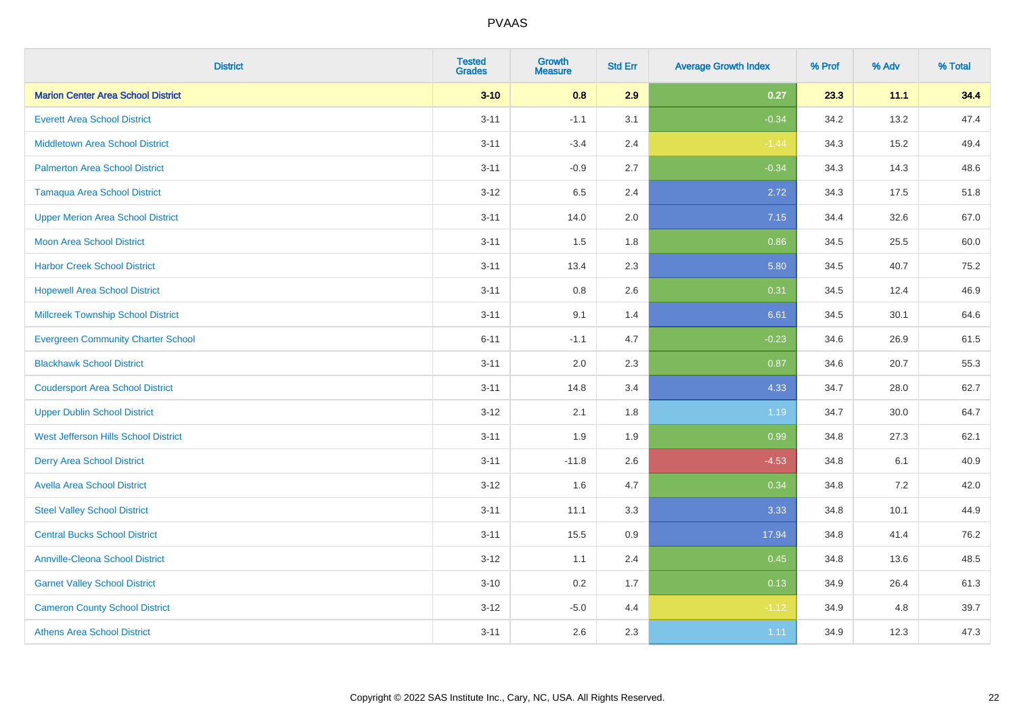| <b>District</b>                           | <b>Tested</b><br><b>Grades</b> | <b>Growth</b><br><b>Measure</b> | <b>Std Err</b> | <b>Average Growth Index</b> | % Prof | % Adv | % Total |
|-------------------------------------------|--------------------------------|---------------------------------|----------------|-----------------------------|--------|-------|---------|
| <b>Marion Center Area School District</b> | $3 - 10$                       | 0.8                             | 2.9            | 0.27                        | 23.3   | 11.1  | 34.4    |
| <b>Everett Area School District</b>       | $3 - 11$                       | $-1.1$                          | 3.1            | $-0.34$                     | 34.2   | 13.2  | 47.4    |
| <b>Middletown Area School District</b>    | $3 - 11$                       | $-3.4$                          | 2.4            | $-1.44$                     | 34.3   | 15.2  | 49.4    |
| <b>Palmerton Area School District</b>     | $3 - 11$                       | $-0.9$                          | 2.7            | $-0.34$                     | 34.3   | 14.3  | 48.6    |
| <b>Tamaqua Area School District</b>       | $3 - 12$                       | 6.5                             | 2.4            | 2.72                        | 34.3   | 17.5  | 51.8    |
| <b>Upper Merion Area School District</b>  | $3 - 11$                       | 14.0                            | 2.0            | 7.15                        | 34.4   | 32.6  | 67.0    |
| Moon Area School District                 | $3 - 11$                       | 1.5                             | 1.8            | 0.86                        | 34.5   | 25.5  | 60.0    |
| <b>Harbor Creek School District</b>       | $3 - 11$                       | 13.4                            | 2.3            | 5.80                        | 34.5   | 40.7  | 75.2    |
| <b>Hopewell Area School District</b>      | $3 - 11$                       | 0.8                             | 2.6            | 0.31                        | 34.5   | 12.4  | 46.9    |
| <b>Millcreek Township School District</b> | $3 - 11$                       | 9.1                             | 1.4            | 6.61                        | 34.5   | 30.1  | 64.6    |
| <b>Evergreen Community Charter School</b> | $6 - 11$                       | $-1.1$                          | 4.7            | $-0.23$                     | 34.6   | 26.9  | 61.5    |
| <b>Blackhawk School District</b>          | $3 - 11$                       | 2.0                             | 2.3            | 0.87                        | 34.6   | 20.7  | 55.3    |
| <b>Coudersport Area School District</b>   | $3 - 11$                       | 14.8                            | 3.4            | 4.33                        | 34.7   | 28.0  | 62.7    |
| <b>Upper Dublin School District</b>       | $3 - 12$                       | 2.1                             | 1.8            | 1.19                        | 34.7   | 30.0  | 64.7    |
| West Jefferson Hills School District      | $3 - 11$                       | 1.9                             | 1.9            | 0.99                        | 34.8   | 27.3  | 62.1    |
| <b>Derry Area School District</b>         | $3 - 11$                       | $-11.8$                         | 2.6            | $-4.53$                     | 34.8   | 6.1   | 40.9    |
| <b>Avella Area School District</b>        | $3 - 12$                       | 1.6                             | 4.7            | 0.34                        | 34.8   | 7.2   | 42.0    |
| <b>Steel Valley School District</b>       | $3 - 11$                       | 11.1                            | 3.3            | 3.33                        | 34.8   | 10.1  | 44.9    |
| <b>Central Bucks School District</b>      | $3 - 11$                       | 15.5                            | 0.9            | 17.94                       | 34.8   | 41.4  | 76.2    |
| <b>Annville-Cleona School District</b>    | $3 - 12$                       | 1.1                             | 2.4            | 0.45                        | 34.8   | 13.6  | 48.5    |
| <b>Garnet Valley School District</b>      | $3 - 10$                       | 0.2                             | 1.7            | 0.13                        | 34.9   | 26.4  | 61.3    |
| <b>Cameron County School District</b>     | $3 - 12$                       | $-5.0$                          | 4.4            | $-1.12$                     | 34.9   | 4.8   | 39.7    |
| <b>Athens Area School District</b>        | $3 - 11$                       | 2.6                             | 2.3            | 1.11                        | 34.9   | 12.3  | 47.3    |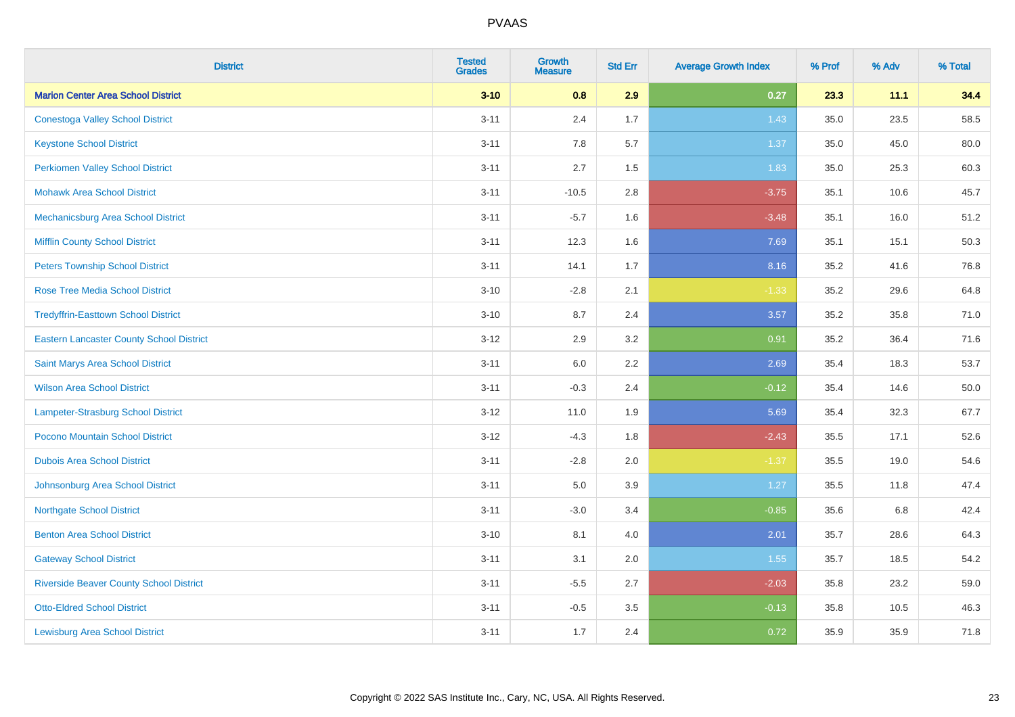| <b>District</b>                                 | <b>Tested</b><br><b>Grades</b> | <b>Growth</b><br><b>Measure</b> | <b>Std Err</b> | <b>Average Growth Index</b> | % Prof | % Adv | % Total  |
|-------------------------------------------------|--------------------------------|---------------------------------|----------------|-----------------------------|--------|-------|----------|
| <b>Marion Center Area School District</b>       | $3 - 10$                       | 0.8                             | 2.9            | 0.27                        | 23.3   | 11.1  | 34.4     |
| <b>Conestoga Valley School District</b>         | $3 - 11$                       | 2.4                             | 1.7            | 1.43                        | 35.0   | 23.5  | 58.5     |
| <b>Keystone School District</b>                 | $3 - 11$                       | 7.8                             | 5.7            | 1.37                        | 35.0   | 45.0  | 80.0     |
| <b>Perkiomen Valley School District</b>         | $3 - 11$                       | 2.7                             | 1.5            | 1.83                        | 35.0   | 25.3  | 60.3     |
| <b>Mohawk Area School District</b>              | $3 - 11$                       | $-10.5$                         | 2.8            | $-3.75$                     | 35.1   | 10.6  | 45.7     |
| Mechanicsburg Area School District              | $3 - 11$                       | $-5.7$                          | 1.6            | $-3.48$                     | 35.1   | 16.0  | 51.2     |
| <b>Mifflin County School District</b>           | $3 - 11$                       | 12.3                            | 1.6            | 7.69                        | 35.1   | 15.1  | 50.3     |
| <b>Peters Township School District</b>          | $3 - 11$                       | 14.1                            | 1.7            | 8.16                        | 35.2   | 41.6  | 76.8     |
| <b>Rose Tree Media School District</b>          | $3 - 10$                       | $-2.8$                          | 2.1            | $-1.33$                     | 35.2   | 29.6  | 64.8     |
| <b>Tredyffrin-Easttown School District</b>      | $3 - 10$                       | 8.7                             | 2.4            | 3.57                        | 35.2   | 35.8  | 71.0     |
| <b>Eastern Lancaster County School District</b> | $3 - 12$                       | 2.9                             | 3.2            | 0.91                        | 35.2   | 36.4  | 71.6     |
| Saint Marys Area School District                | $3 - 11$                       | 6.0                             | 2.2            | 2.69                        | 35.4   | 18.3  | 53.7     |
| <b>Wilson Area School District</b>              | $3 - 11$                       | $-0.3$                          | 2.4            | $-0.12$                     | 35.4   | 14.6  | $50.0\,$ |
| Lampeter-Strasburg School District              | $3 - 12$                       | 11.0                            | 1.9            | 5.69                        | 35.4   | 32.3  | 67.7     |
| Pocono Mountain School District                 | $3-12$                         | $-4.3$                          | 1.8            | $-2.43$                     | 35.5   | 17.1  | 52.6     |
| <b>Dubois Area School District</b>              | $3 - 11$                       | $-2.8$                          | 2.0            | $-1.37$                     | 35.5   | 19.0  | 54.6     |
| Johnsonburg Area School District                | $3 - 11$                       | 5.0                             | 3.9            | 1.27                        | 35.5   | 11.8  | 47.4     |
| <b>Northgate School District</b>                | $3 - 11$                       | $-3.0$                          | 3.4            | $-0.85$                     | 35.6   | 6.8   | 42.4     |
| <b>Benton Area School District</b>              | $3 - 10$                       | 8.1                             | 4.0            | 2.01                        | 35.7   | 28.6  | 64.3     |
| <b>Gateway School District</b>                  | $3 - 11$                       | 3.1                             | 2.0            | 1.55                        | 35.7   | 18.5  | 54.2     |
| <b>Riverside Beaver County School District</b>  | $3 - 11$                       | $-5.5$                          | 2.7            | $-2.03$                     | 35.8   | 23.2  | 59.0     |
| <b>Otto-Eldred School District</b>              | $3 - 11$                       | $-0.5$                          | 3.5            | $-0.13$                     | 35.8   | 10.5  | 46.3     |
| <b>Lewisburg Area School District</b>           | $3 - 11$                       | 1.7                             | 2.4            | 0.72                        | 35.9   | 35.9  | 71.8     |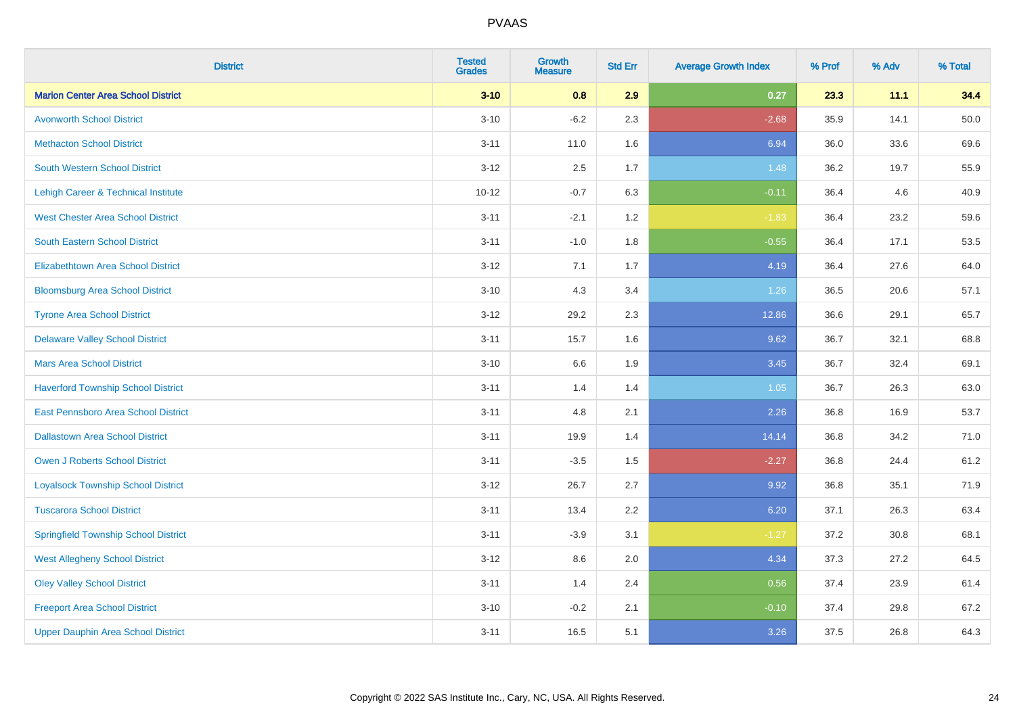| <b>District</b>                             | <b>Tested</b><br><b>Grades</b> | Growth<br><b>Measure</b> | <b>Std Err</b> | <b>Average Growth Index</b> | % Prof | % Adv | % Total |
|---------------------------------------------|--------------------------------|--------------------------|----------------|-----------------------------|--------|-------|---------|
| <b>Marion Center Area School District</b>   | $3 - 10$                       | 0.8                      | 2.9            | 0.27                        | 23.3   | 11.1  | 34.4    |
| <b>Avonworth School District</b>            | $3 - 10$                       | $-6.2$                   | 2.3            | $-2.68$                     | 35.9   | 14.1  | 50.0    |
| <b>Methacton School District</b>            | $3 - 11$                       | 11.0                     | 1.6            | 6.94                        | 36.0   | 33.6  | 69.6    |
| <b>South Western School District</b>        | $3-12$                         | 2.5                      | 1.7            | 1.48                        | 36.2   | 19.7  | 55.9    |
| Lehigh Career & Technical Institute         | $10 - 12$                      | $-0.7$                   | 6.3            | $-0.11$                     | 36.4   | 4.6   | 40.9    |
| <b>West Chester Area School District</b>    | $3 - 11$                       | $-2.1$                   | 1.2            | $-1.83$                     | 36.4   | 23.2  | 59.6    |
| <b>South Eastern School District</b>        | $3 - 11$                       | $-1.0$                   | 1.8            | $-0.55$                     | 36.4   | 17.1  | 53.5    |
| <b>Elizabethtown Area School District</b>   | $3-12$                         | 7.1                      | 1.7            | 4.19                        | 36.4   | 27.6  | 64.0    |
| <b>Bloomsburg Area School District</b>      | $3 - 10$                       | 4.3                      | 3.4            | 1.26                        | 36.5   | 20.6  | 57.1    |
| <b>Tyrone Area School District</b>          | $3 - 12$                       | 29.2                     | 2.3            | 12.86                       | 36.6   | 29.1  | 65.7    |
| <b>Delaware Valley School District</b>      | $3 - 11$                       | 15.7                     | 1.6            | 9.62                        | 36.7   | 32.1  | 68.8    |
| <b>Mars Area School District</b>            | $3 - 10$                       | $6.6\,$                  | 1.9            | 3.45                        | 36.7   | 32.4  | 69.1    |
| <b>Haverford Township School District</b>   | $3 - 11$                       | 1.4                      | 1.4            | $1.05$                      | 36.7   | 26.3  | 63.0    |
| <b>East Pennsboro Area School District</b>  | $3 - 11$                       | 4.8                      | 2.1            | 2.26                        | 36.8   | 16.9  | 53.7    |
| <b>Dallastown Area School District</b>      | $3 - 11$                       | 19.9                     | 1.4            | 14.14                       | 36.8   | 34.2  | 71.0    |
| Owen J Roberts School District              | $3 - 11$                       | $-3.5$                   | 1.5            | $-2.27$                     | 36.8   | 24.4  | 61.2    |
| <b>Loyalsock Township School District</b>   | $3 - 12$                       | 26.7                     | 2.7            | 9.92                        | 36.8   | 35.1  | 71.9    |
| <b>Tuscarora School District</b>            | $3 - 11$                       | 13.4                     | 2.2            | 6.20                        | 37.1   | 26.3  | 63.4    |
| <b>Springfield Township School District</b> | $3 - 11$                       | $-3.9$                   | 3.1            | $-1.27$                     | 37.2   | 30.8  | 68.1    |
| <b>West Allegheny School District</b>       | $3 - 12$                       | 8.6                      | 2.0            | 4.34                        | 37.3   | 27.2  | 64.5    |
| <b>Oley Valley School District</b>          | $3 - 11$                       | 1.4                      | 2.4            | 0.56                        | 37.4   | 23.9  | 61.4    |
| <b>Freeport Area School District</b>        | $3 - 10$                       | $-0.2$                   | 2.1            | $-0.10$                     | 37.4   | 29.8  | 67.2    |
| <b>Upper Dauphin Area School District</b>   | $3 - 11$                       | 16.5                     | 5.1            | 3.26                        | 37.5   | 26.8  | 64.3    |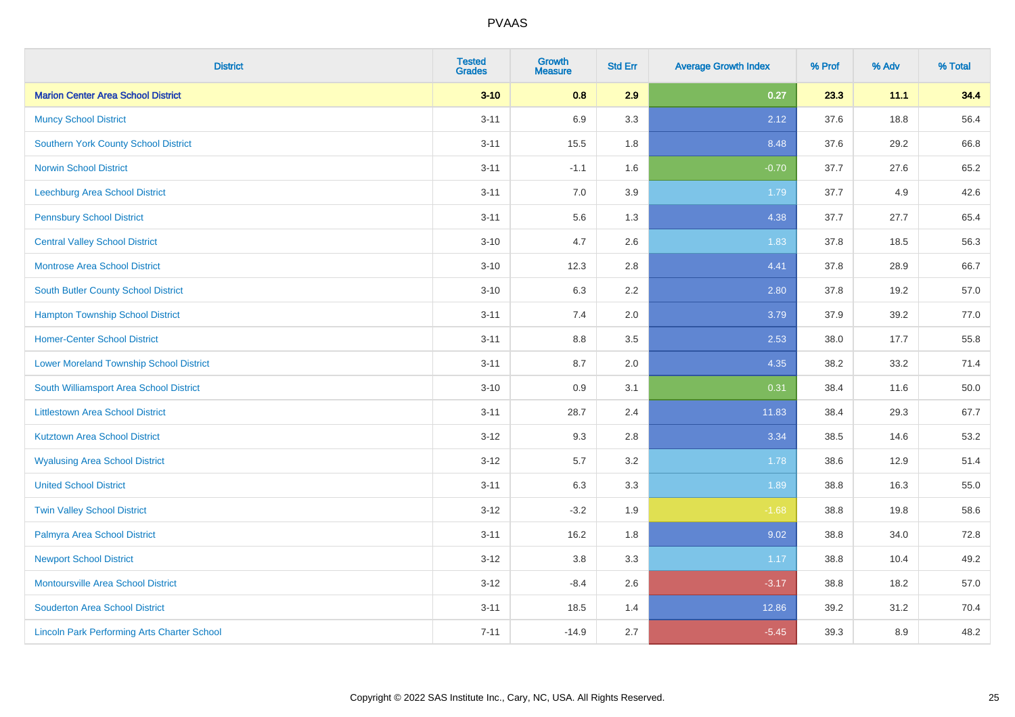| <b>District</b>                                    | <b>Tested</b><br><b>Grades</b> | <b>Growth</b><br><b>Measure</b> | <b>Std Err</b> | <b>Average Growth Index</b> | % Prof | % Adv | % Total |
|----------------------------------------------------|--------------------------------|---------------------------------|----------------|-----------------------------|--------|-------|---------|
| <b>Marion Center Area School District</b>          | $3 - 10$                       | 0.8                             | 2.9            | 0.27                        | 23.3   | 11.1  | 34.4    |
| <b>Muncy School District</b>                       | $3 - 11$                       | 6.9                             | 3.3            | 2.12                        | 37.6   | 18.8  | 56.4    |
| <b>Southern York County School District</b>        | $3 - 11$                       | 15.5                            | 1.8            | 8.48                        | 37.6   | 29.2  | 66.8    |
| <b>Norwin School District</b>                      | $3 - 11$                       | $-1.1$                          | 1.6            | $-0.70$                     | 37.7   | 27.6  | 65.2    |
| <b>Leechburg Area School District</b>              | $3 - 11$                       | 7.0                             | 3.9            | 1.79                        | 37.7   | 4.9   | 42.6    |
| <b>Pennsbury School District</b>                   | $3 - 11$                       | 5.6                             | 1.3            | 4.38                        | 37.7   | 27.7  | 65.4    |
| <b>Central Valley School District</b>              | $3 - 10$                       | 4.7                             | 2.6            | 1.83                        | 37.8   | 18.5  | 56.3    |
| <b>Montrose Area School District</b>               | $3 - 10$                       | 12.3                            | 2.8            | 4.41                        | 37.8   | 28.9  | 66.7    |
| South Butler County School District                | $3 - 10$                       | 6.3                             | 2.2            | 2.80                        | 37.8   | 19.2  | 57.0    |
| <b>Hampton Township School District</b>            | $3 - 11$                       | 7.4                             | 2.0            | 3.79                        | 37.9   | 39.2  | 77.0    |
| <b>Homer-Center School District</b>                | $3 - 11$                       | 8.8                             | 3.5            | 2.53                        | 38.0   | 17.7  | 55.8    |
| <b>Lower Moreland Township School District</b>     | $3 - 11$                       | 8.7                             | 2.0            | 4.35                        | 38.2   | 33.2  | 71.4    |
| South Williamsport Area School District            | $3 - 10$                       | $0.9\,$                         | 3.1            | 0.31                        | 38.4   | 11.6  | 50.0    |
| <b>Littlestown Area School District</b>            | $3 - 11$                       | 28.7                            | 2.4            | 11.83                       | 38.4   | 29.3  | 67.7    |
| <b>Kutztown Area School District</b>               | $3 - 12$                       | 9.3                             | 2.8            | 3.34                        | 38.5   | 14.6  | 53.2    |
| <b>Wyalusing Area School District</b>              | $3 - 12$                       | 5.7                             | 3.2            | 1.78                        | 38.6   | 12.9  | 51.4    |
| <b>United School District</b>                      | $3 - 11$                       | 6.3                             | 3.3            | 1.89                        | 38.8   | 16.3  | 55.0    |
| <b>Twin Valley School District</b>                 | $3 - 12$                       | $-3.2$                          | 1.9            | $-1.68$                     | 38.8   | 19.8  | 58.6    |
| Palmyra Area School District                       | $3 - 11$                       | 16.2                            | 1.8            | 9.02                        | 38.8   | 34.0  | 72.8    |
| <b>Newport School District</b>                     | $3 - 12$                       | 3.8                             | 3.3            | 1.17                        | 38.8   | 10.4  | 49.2    |
| Montoursville Area School District                 | $3-12$                         | $-8.4$                          | 2.6            | $-3.17$                     | 38.8   | 18.2  | 57.0    |
| <b>Souderton Area School District</b>              | $3 - 11$                       | 18.5                            | 1.4            | 12.86                       | 39.2   | 31.2  | 70.4    |
| <b>Lincoln Park Performing Arts Charter School</b> | $7 - 11$                       | $-14.9$                         | 2.7            | $-5.45$                     | 39.3   | 8.9   | 48.2    |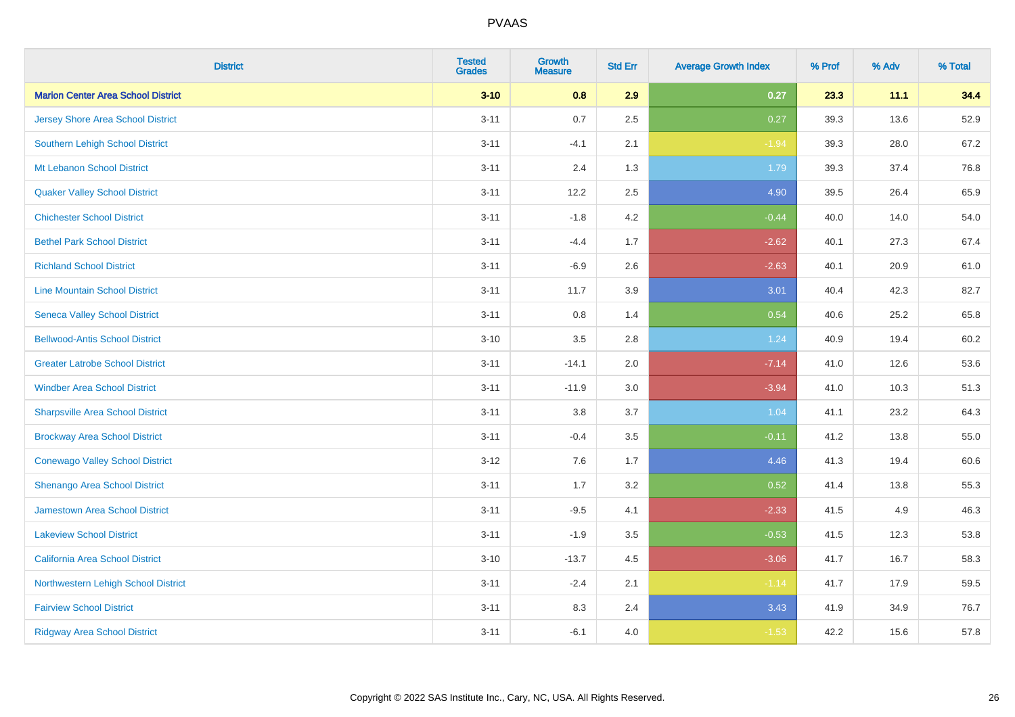| <b>District</b>                           | <b>Tested</b><br><b>Grades</b> | <b>Growth</b><br><b>Measure</b> | <b>Std Err</b> | <b>Average Growth Index</b> | % Prof | % Adv | % Total |
|-------------------------------------------|--------------------------------|---------------------------------|----------------|-----------------------------|--------|-------|---------|
| <b>Marion Center Area School District</b> | $3 - 10$                       | 0.8                             | 2.9            | 0.27                        | 23.3   | 11.1  | 34.4    |
| Jersey Shore Area School District         | $3 - 11$                       | 0.7                             | 2.5            | 0.27                        | 39.3   | 13.6  | 52.9    |
| Southern Lehigh School District           | $3 - 11$                       | $-4.1$                          | 2.1            | $-1.94$                     | 39.3   | 28.0  | 67.2    |
| Mt Lebanon School District                | $3 - 11$                       | 2.4                             | 1.3            | 1.79                        | 39.3   | 37.4  | 76.8    |
| <b>Quaker Valley School District</b>      | $3 - 11$                       | 12.2                            | 2.5            | 4.90                        | 39.5   | 26.4  | 65.9    |
| <b>Chichester School District</b>         | $3 - 11$                       | $-1.8$                          | 4.2            | $-0.44$                     | 40.0   | 14.0  | 54.0    |
| <b>Bethel Park School District</b>        | $3 - 11$                       | $-4.4$                          | 1.7            | $-2.62$                     | 40.1   | 27.3  | 67.4    |
| <b>Richland School District</b>           | $3 - 11$                       | $-6.9$                          | 2.6            | $-2.63$                     | 40.1   | 20.9  | 61.0    |
| <b>Line Mountain School District</b>      | $3 - 11$                       | 11.7                            | 3.9            | 3.01                        | 40.4   | 42.3  | 82.7    |
| <b>Seneca Valley School District</b>      | $3 - 11$                       | 0.8                             | 1.4            | 0.54                        | 40.6   | 25.2  | 65.8    |
| <b>Bellwood-Antis School District</b>     | $3 - 10$                       | 3.5                             | 2.8            | 1.24                        | 40.9   | 19.4  | 60.2    |
| <b>Greater Latrobe School District</b>    | $3 - 11$                       | $-14.1$                         | 2.0            | $-7.14$                     | 41.0   | 12.6  | 53.6    |
| <b>Windber Area School District</b>       | $3 - 11$                       | $-11.9$                         | 3.0            | $-3.94$                     | 41.0   | 10.3  | 51.3    |
| <b>Sharpsville Area School District</b>   | $3 - 11$                       | $3.8\,$                         | 3.7            | 1.04                        | 41.1   | 23.2  | 64.3    |
| <b>Brockway Area School District</b>      | $3 - 11$                       | $-0.4$                          | 3.5            | $-0.11$                     | 41.2   | 13.8  | 55.0    |
| <b>Conewago Valley School District</b>    | $3 - 12$                       | 7.6                             | 1.7            | 4.46                        | 41.3   | 19.4  | 60.6    |
| Shenango Area School District             | $3 - 11$                       | 1.7                             | 3.2            | 0.52                        | 41.4   | 13.8  | 55.3    |
| Jamestown Area School District            | $3 - 11$                       | $-9.5$                          | 4.1            | $-2.33$                     | 41.5   | 4.9   | 46.3    |
| <b>Lakeview School District</b>           | $3 - 11$                       | $-1.9$                          | 3.5            | $-0.53$                     | 41.5   | 12.3  | 53.8    |
| California Area School District           | $3 - 10$                       | $-13.7$                         | 4.5            | $-3.06$                     | 41.7   | 16.7  | 58.3    |
| Northwestern Lehigh School District       | $3 - 11$                       | $-2.4$                          | 2.1            | $-1.14$                     | 41.7   | 17.9  | 59.5    |
| <b>Fairview School District</b>           | $3 - 11$                       | 8.3                             | 2.4            | 3.43                        | 41.9   | 34.9  | 76.7    |
| <b>Ridgway Area School District</b>       | $3 - 11$                       | $-6.1$                          | 4.0            | $-1.53$                     | 42.2   | 15.6  | 57.8    |